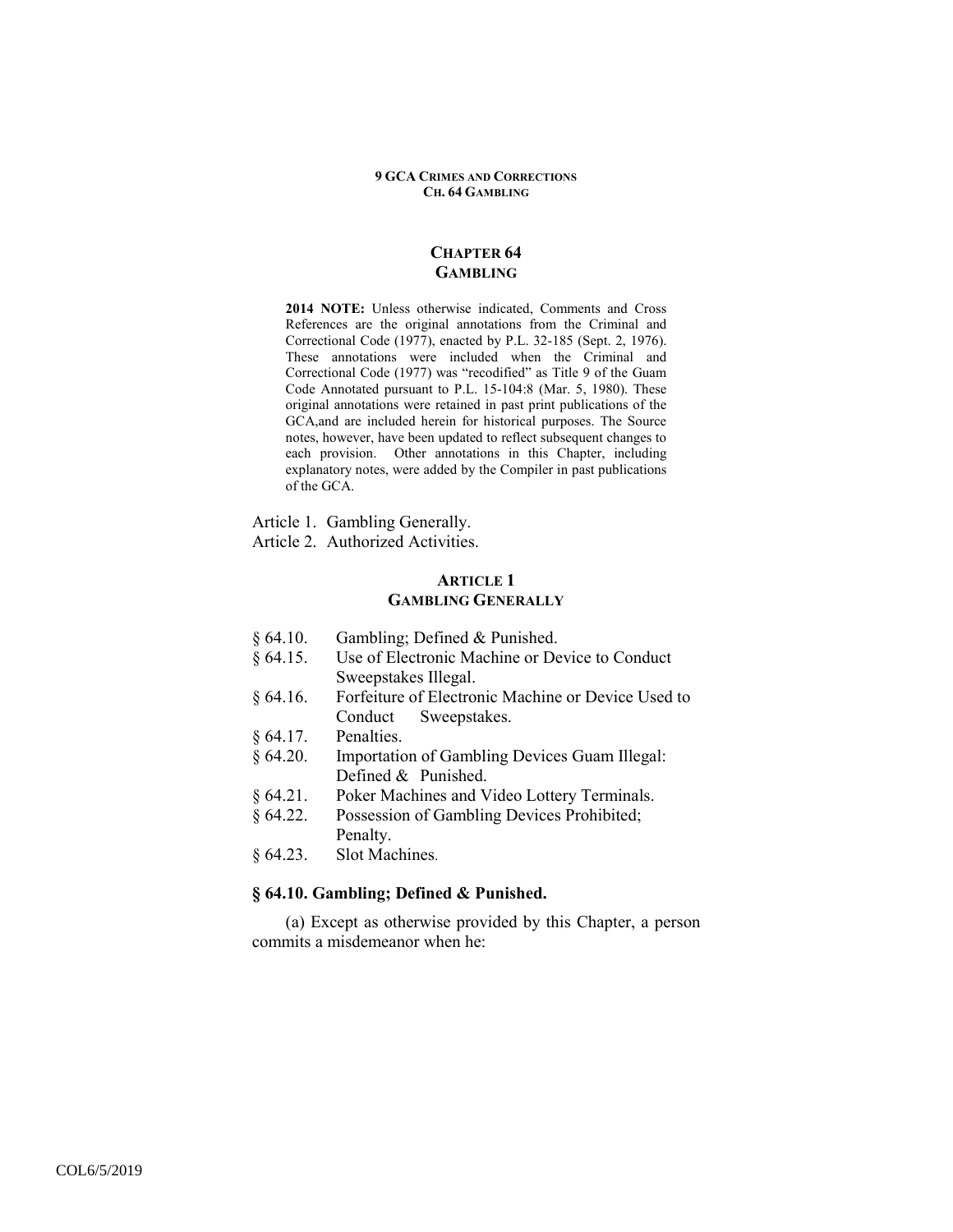## **CHAPTER 64 GAMBLING**

**2014 NOTE:** Unless otherwise indicated, Comments and Cross References are the original annotations from the Criminal and Correctional Code (1977), enacted by P.L. 32-185 (Sept. 2, 1976). These annotations were included when the Criminal and Correctional Code (1977) was "recodified" as Title 9 of the Guam Code Annotated pursuant to P.L. 15-104:8 (Mar. 5, 1980). These original annotations were retained in past print publications of the GCA,and are included herein for historical purposes. The Source notes, however, have been updated to reflect subsequent changes to each provision. Other annotations in this Chapter, including explanatory notes, were added by the Compiler in past publications of the GCA.

Article 1. Gambling Generally. Article 2. Authorized Activities.

## **ARTICLE 1 GAMBLING GENERALLY**

- § 64.10. Gambling; Defined & Punished.
- § 64.15. Use of Electronic Machine or Device to Conduct Sweepstakes Illegal.
- § 64.16. Forfeiture of Electronic Machine or Device Used to Conduct Sweepstakes.
- § 64.17. Penalties.
- § 64.20. Importation of Gambling Devices Guam Illegal: Defined & Punished.
- § 64.21. Poker Machines and Video Lottery Terminals.
- § 64.22. Possession of Gambling Devices Prohibited; Penalty.
- § 64.23. Slot Machines.

# **§ 64.10. Gambling; Defined & Punished.**

(a) Except as otherwise provided by this Chapter, a person commits a misdemeanor when he: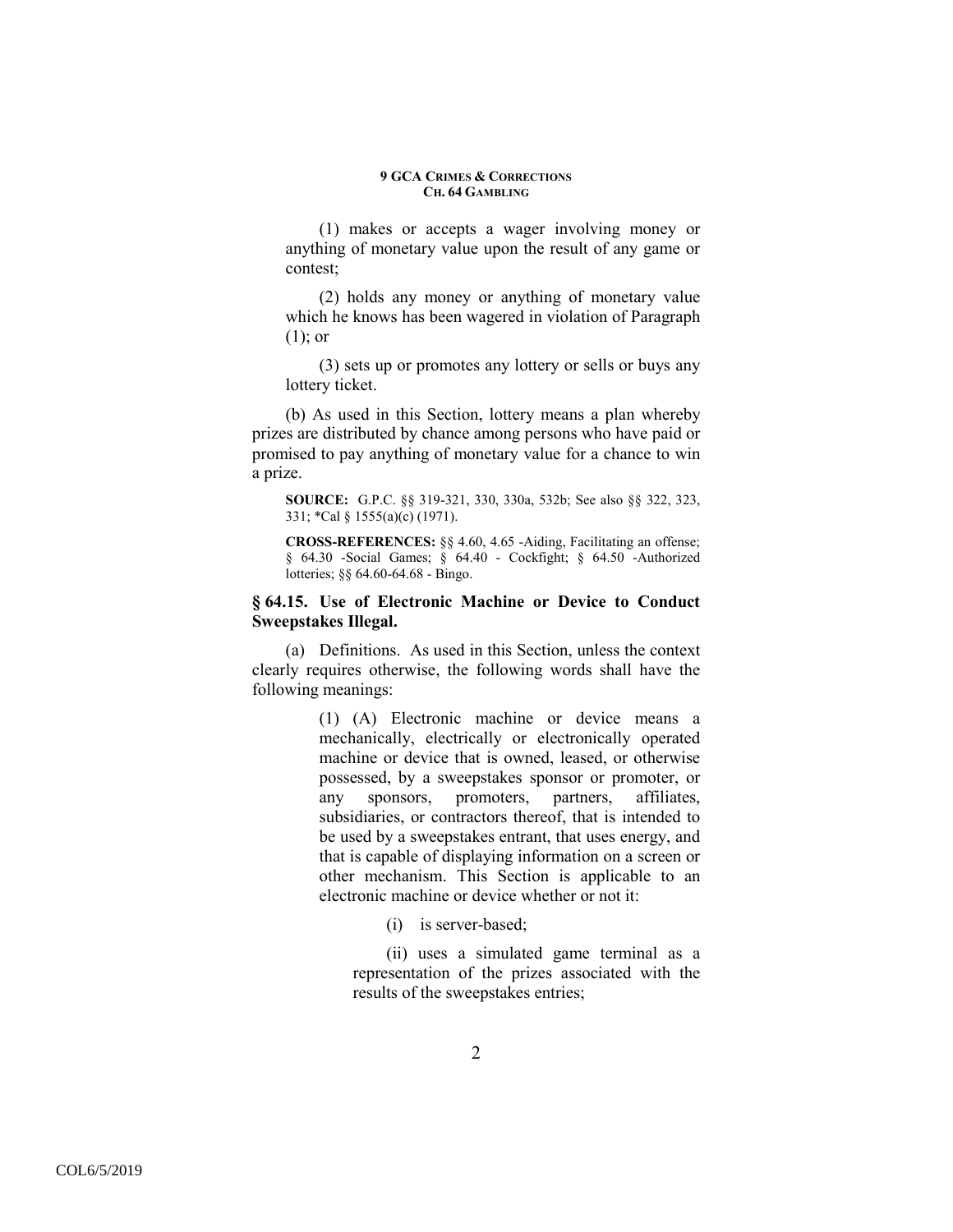(1) makes or accepts a wager involving money or anything of monetary value upon the result of any game or contest;

(2) holds any money or anything of monetary value which he knows has been wagered in violation of Paragraph (1); or

(3) sets up or promotes any lottery or sells or buys any lottery ticket.

(b) As used in this Section, lottery means a plan whereby prizes are distributed by chance among persons who have paid or promised to pay anything of monetary value for a chance to win a prize.

**SOURCE:** G.P.C. §§ 319-321, 330, 330a, 532b; See also §§ 322, 323, 331; \*Cal § 1555(a)(c) (1971).

**CROSS-REFERENCES:** §§ 4.60, 4.65 -Aiding, Facilitating an offense; § 64.30 -Social Games; § 64.40 - Cockfight; § 64.50 -Authorized lotteries; §§ 64.60-64.68 - Bingo.

## **§ 64.15. Use of Electronic Machine or Device to Conduct Sweepstakes Illegal.**

(a) Definitions. As used in this Section, unless the context clearly requires otherwise, the following words shall have the following meanings:

> (1) (A) Electronic machine or device means a mechanically, electrically or electronically operated machine or device that is owned, leased, or otherwise possessed, by a sweepstakes sponsor or promoter, or any sponsors, promoters, partners, affiliates, subsidiaries, or contractors thereof, that is intended to be used by a sweepstakes entrant, that uses energy, and that is capable of displaying information on a screen or other mechanism. This Section is applicable to an electronic machine or device whether or not it:

> > (i) is server-based;

(ii) uses a simulated game terminal as a representation of the prizes associated with the results of the sweepstakes entries;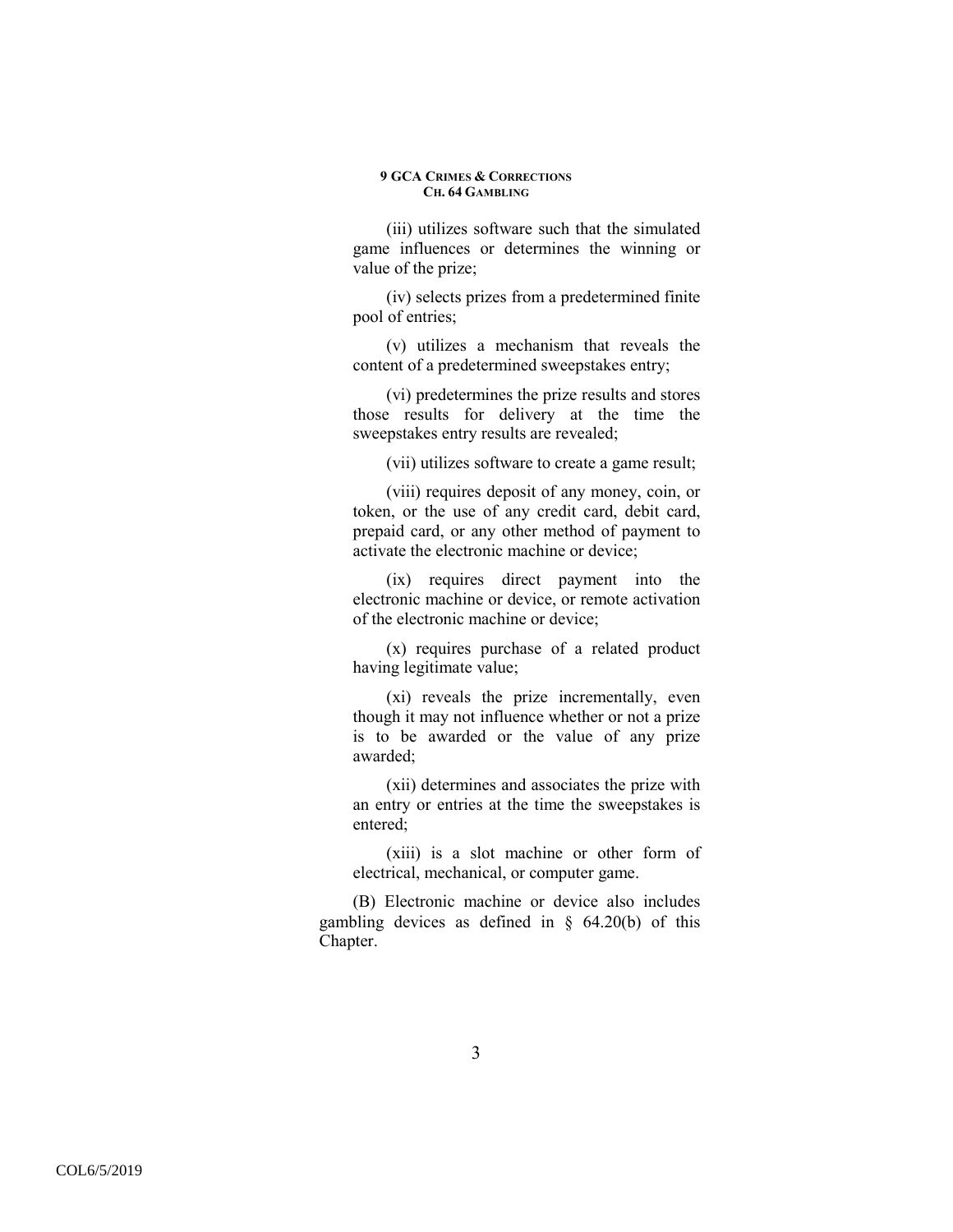(iii) utilizes software such that the simulated game influences or determines the winning or value of the prize;

(iv) selects prizes from a predetermined finite pool of entries;

(v) utilizes a mechanism that reveals the content of a predetermined sweepstakes entry;

(vi) predetermines the prize results and stores those results for delivery at the time the sweepstakes entry results are revealed;

(vii) utilizes software to create a game result;

(viii) requires deposit of any money, coin, or token, or the use of any credit card, debit card, prepaid card, or any other method of payment to activate the electronic machine or device;

(ix) requires direct payment into the electronic machine or device, or remote activation of the electronic machine or device;

(x) requires purchase of a related product having legitimate value;

(xi) reveals the prize incrementally, even though it may not influence whether or not a prize is to be awarded or the value of any prize awarded;

(xii) determines and associates the prize with an entry or entries at the time the sweepstakes is entered;

(xiii) is a slot machine or other form of electrical, mechanical, or computer game.

(B) Electronic machine or device also includes gambling devices as defined in  $\S$  64.20(b) of this Chapter.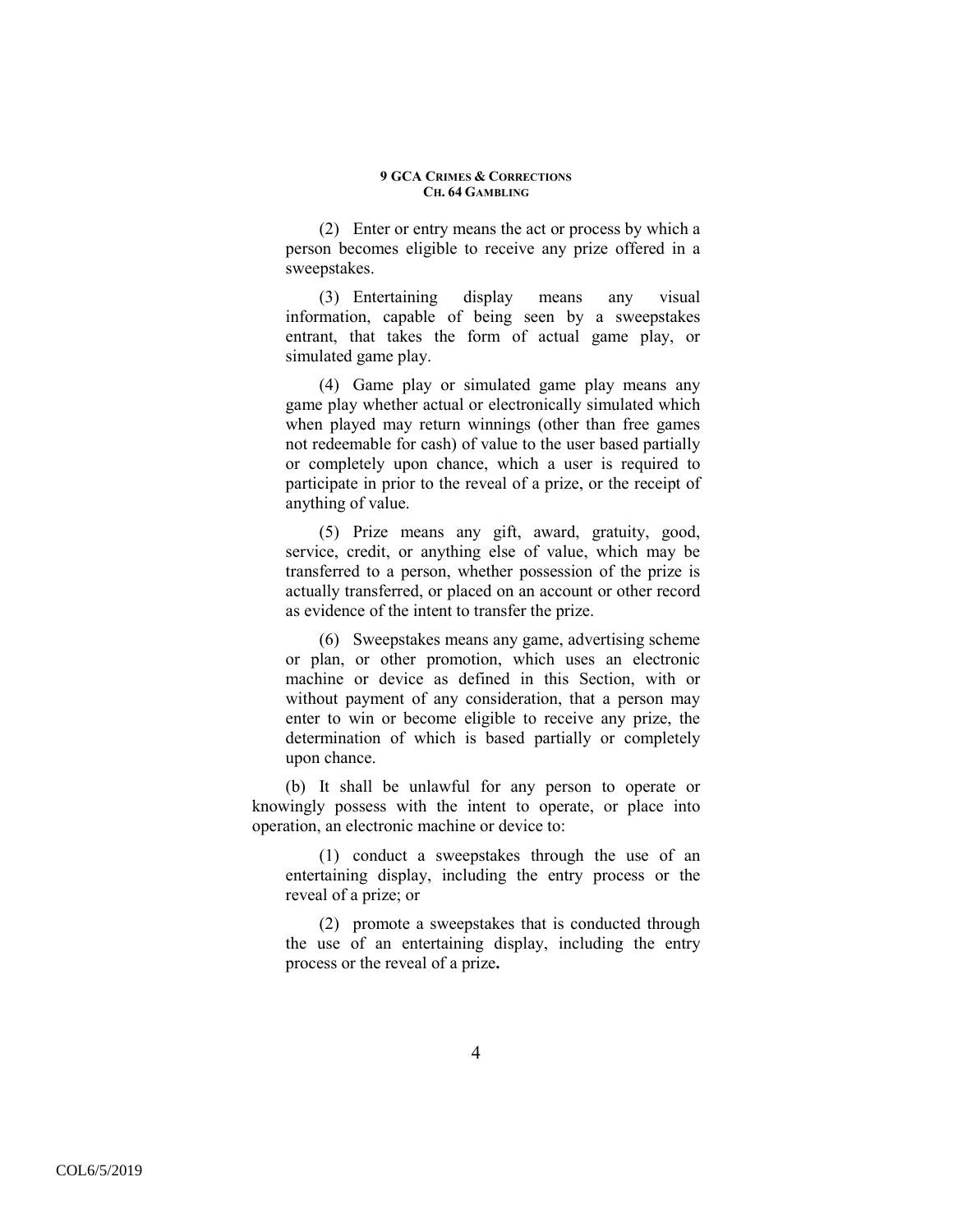(2) Enter or entry means the act or process by which a person becomes eligible to receive any prize offered in a sweepstakes.

(3) Entertaining display means any visual information, capable of being seen by a sweepstakes entrant, that takes the form of actual game play, or simulated game play.

(4) Game play or simulated game play means any game play whether actual or electronically simulated which when played may return winnings (other than free games not redeemable for cash) of value to the user based partially or completely upon chance, which a user is required to participate in prior to the reveal of a prize, or the receipt of anything of value.

(5) Prize means any gift, award, gratuity, good, service, credit, or anything else of value, which may be transferred to a person, whether possession of the prize is actually transferred, or placed on an account or other record as evidence of the intent to transfer the prize.

(6) Sweepstakes means any game, advertising scheme or plan, or other promotion, which uses an electronic machine or device as defined in this Section, with or without payment of any consideration, that a person may enter to win or become eligible to receive any prize, the determination of which is based partially or completely upon chance.

(b) It shall be unlawful for any person to operate or knowingly possess with the intent to operate, or place into operation, an electronic machine or device to:

(1) conduct a sweepstakes through the use of an entertaining display, including the entry process or the reveal of a prize; or

(2) promote a sweepstakes that is conducted through the use of an entertaining display, including the entry process or the reveal of a prize**.**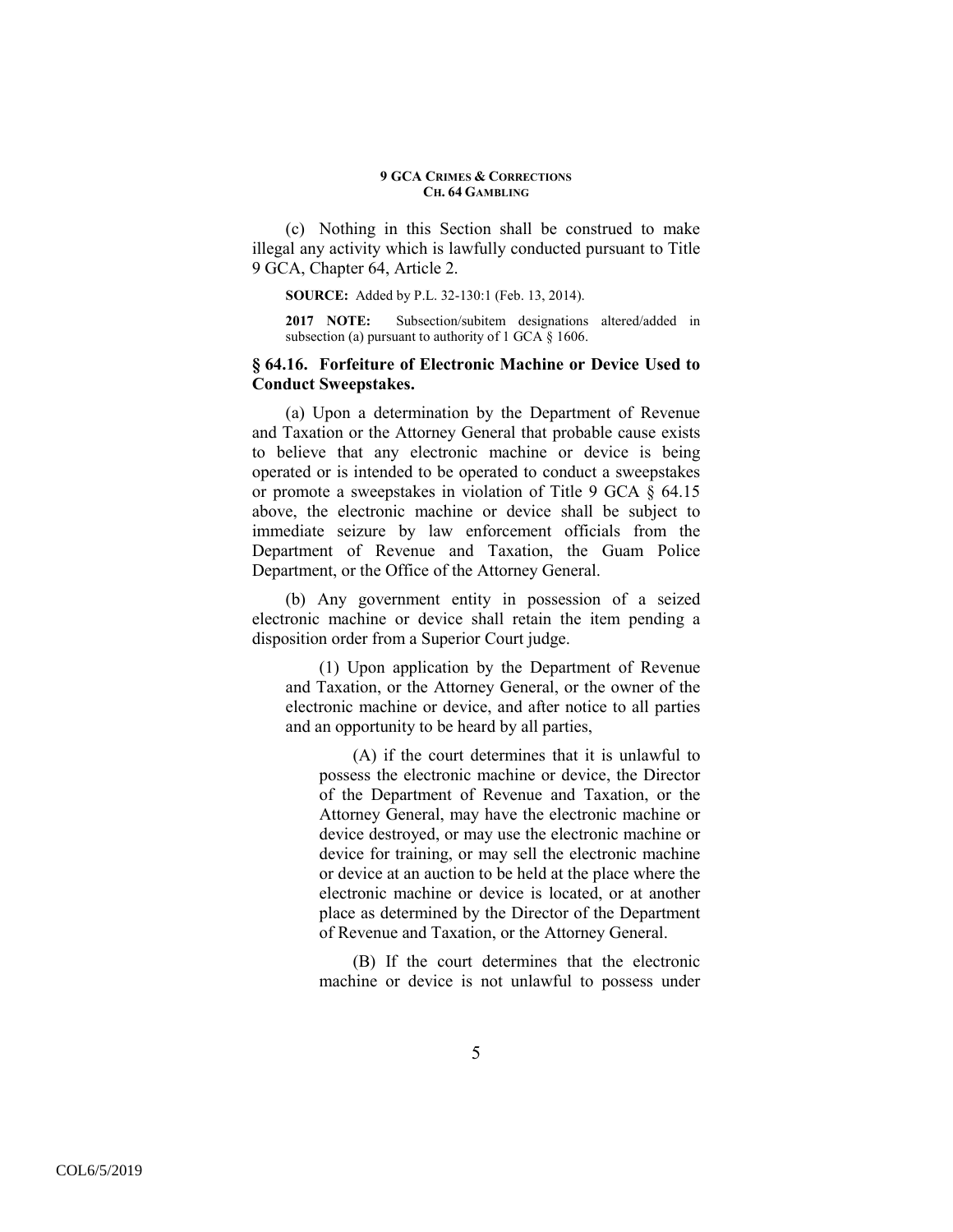(c) Nothing in this Section shall be construed to make illegal any activity which is lawfully conducted pursuant to Title 9 GCA, Chapter 64, Article 2.

**SOURCE:** Added by P.L. 32-130:1 (Feb. 13, 2014).

**2017 NOTE:** Subsection/subitem designations altered/added in subsection (a) pursuant to authority of 1 GCA § 1606.

## **§ 64.16. Forfeiture of Electronic Machine or Device Used to Conduct Sweepstakes.**

(a) Upon a determination by the Department of Revenue and Taxation or the Attorney General that probable cause exists to believe that any electronic machine or device is being operated or is intended to be operated to conduct a sweepstakes or promote a sweepstakes in violation of Title 9 GCA § 64.15 above, the electronic machine or device shall be subject to immediate seizure by law enforcement officials from the Department of Revenue and Taxation, the Guam Police Department, or the Office of the Attorney General.

(b) Any government entity in possession of a seized electronic machine or device shall retain the item pending a disposition order from a Superior Court judge.

(1) Upon application by the Department of Revenue and Taxation, or the Attorney General, or the owner of the electronic machine or device, and after notice to all parties and an opportunity to be heard by all parties,

(A) if the court determines that it is unlawful to possess the electronic machine or device, the Director of the Department of Revenue and Taxation, or the Attorney General, may have the electronic machine or device destroyed, or may use the electronic machine or device for training, or may sell the electronic machine or device at an auction to be held at the place where the electronic machine or device is located, or at another place as determined by the Director of the Department of Revenue and Taxation, or the Attorney General.

(B) If the court determines that the electronic machine or device is not unlawful to possess under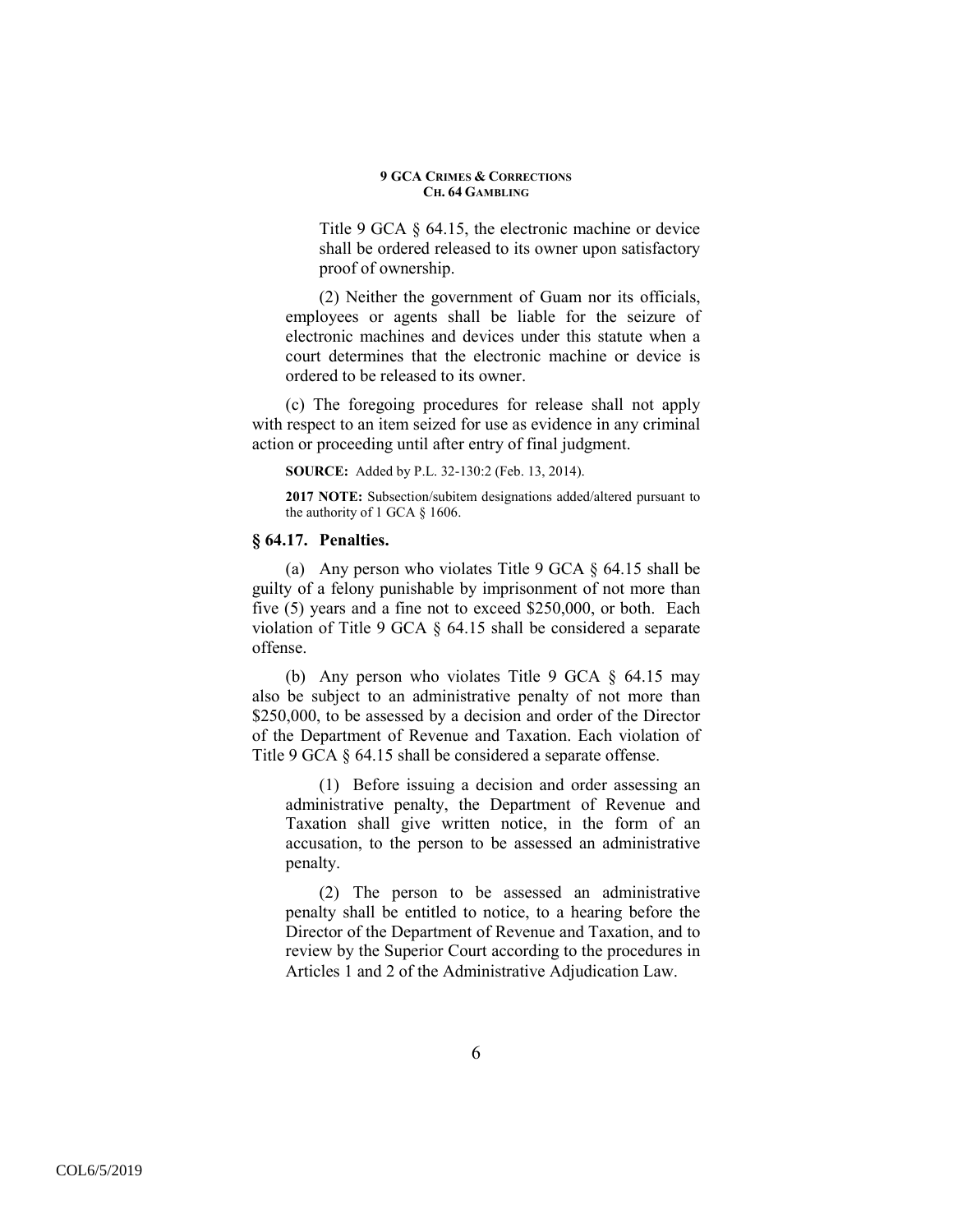Title 9 GCA § 64.15, the electronic machine or device shall be ordered released to its owner upon satisfactory proof of ownership.

(2) Neither the government of Guam nor its officials, employees or agents shall be liable for the seizure of electronic machines and devices under this statute when a court determines that the electronic machine or device is ordered to be released to its owner.

(c) The foregoing procedures for release shall not apply with respect to an item seized for use as evidence in any criminal action or proceeding until after entry of final judgment.

**SOURCE:** Added by P.L. 32-130:2 (Feb. 13, 2014).

**2017 NOTE:** Subsection/subitem designations added/altered pursuant to the authority of 1 GCA § 1606.

## **§ 64.17. Penalties.**

(a) Any person who violates Title 9 GCA § 64.15 shall be guilty of a felony punishable by imprisonment of not more than five (5) years and a fine not to exceed \$250,000, or both. Each violation of Title 9 GCA § 64.15 shall be considered a separate offense.

(b) Any person who violates Title 9 GCA  $\S$  64.15 may also be subject to an administrative penalty of not more than \$250,000, to be assessed by a decision and order of the Director of the Department of Revenue and Taxation. Each violation of Title 9 GCA  $\S$  64.15 shall be considered a separate offense.

(1) Before issuing a decision and order assessing an administrative penalty, the Department of Revenue and Taxation shall give written notice, in the form of an accusation, to the person to be assessed an administrative penalty.

(2) The person to be assessed an administrative penalty shall be entitled to notice, to a hearing before the Director of the Department of Revenue and Taxation, and to review by the Superior Court according to the procedures in Articles 1 and 2 of the Administrative Adjudication Law.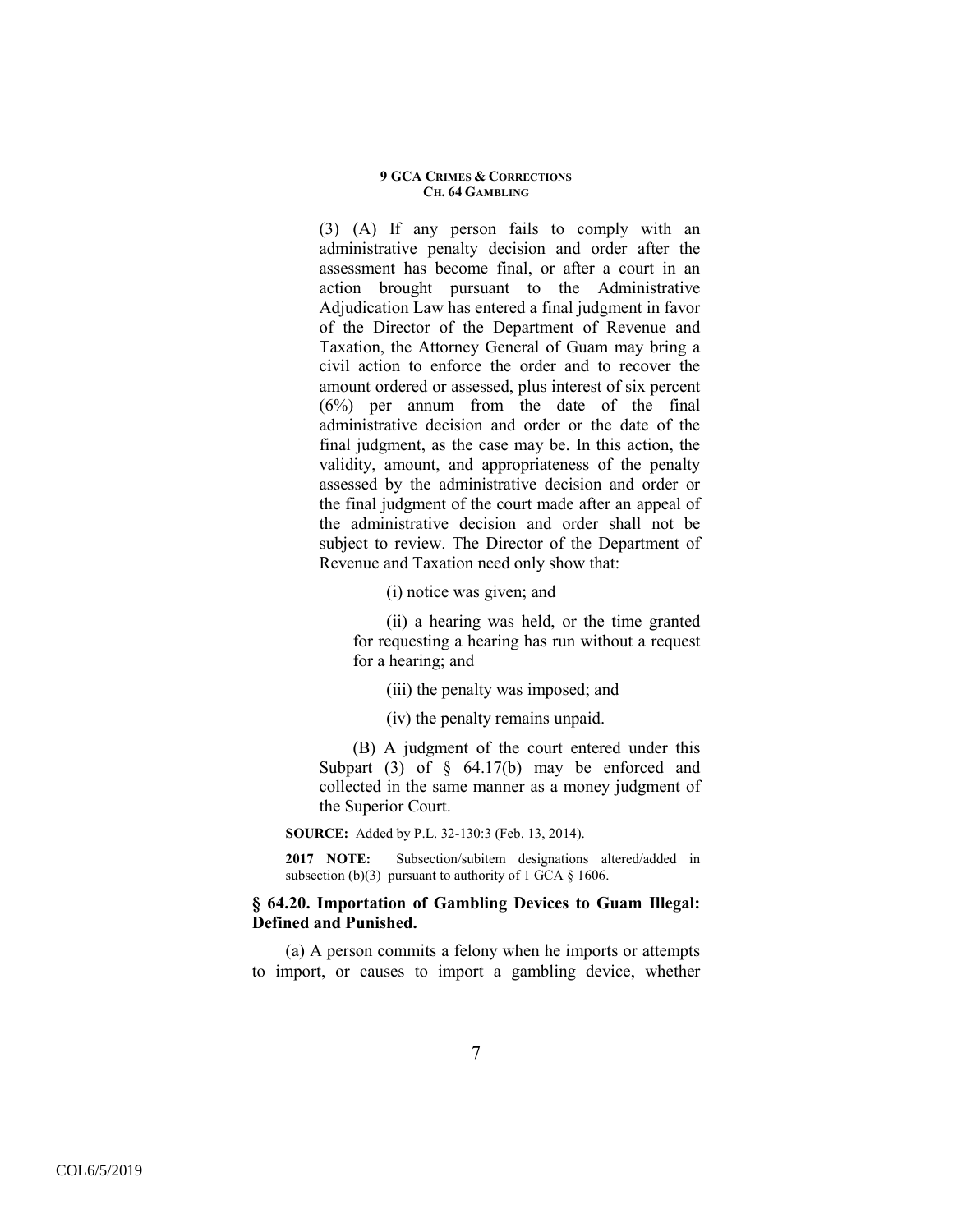(3) (A) If any person fails to comply with an administrative penalty decision and order after the assessment has become final, or after a court in an action brought pursuant to the Administrative Adjudication Law has entered a final judgment in favor of the Director of the Department of Revenue and Taxation, the Attorney General of Guam may bring a civil action to enforce the order and to recover the amount ordered or assessed, plus interest of six percent  $(6%)$  per annum from the date of the final administrative decision and order or the date of the final judgment, as the case may be. In this action, the validity, amount, and appropriateness of the penalty assessed by the administrative decision and order or the final judgment of the court made after an appeal of the administrative decision and order shall not be subject to review. The Director of the Department of Revenue and Taxation need only show that:

(i) notice was given; and

(ii) a hearing was held, or the time granted for requesting a hearing has run without a request for a hearing; and

(iii) the penalty was imposed; and

(iv) the penalty remains unpaid.

(B) A judgment of the court entered under this Subpart (3) of  $\S$  64.17(b) may be enforced and collected in the same manner as a money judgment of the Superior Court.

**SOURCE:** Added by P.L. 32-130:3 (Feb. 13, 2014).

**2017 NOTE:** Subsection/subitem designations altered/added in subsection (b)(3) pursuant to authority of 1 GCA  $\S$  1606.

## **§ 64.20. Importation of Gambling Devices to Guam Illegal: Defined and Punished.**

(a) A person commits a felony when he imports or attempts to import, or causes to import a gambling device, whether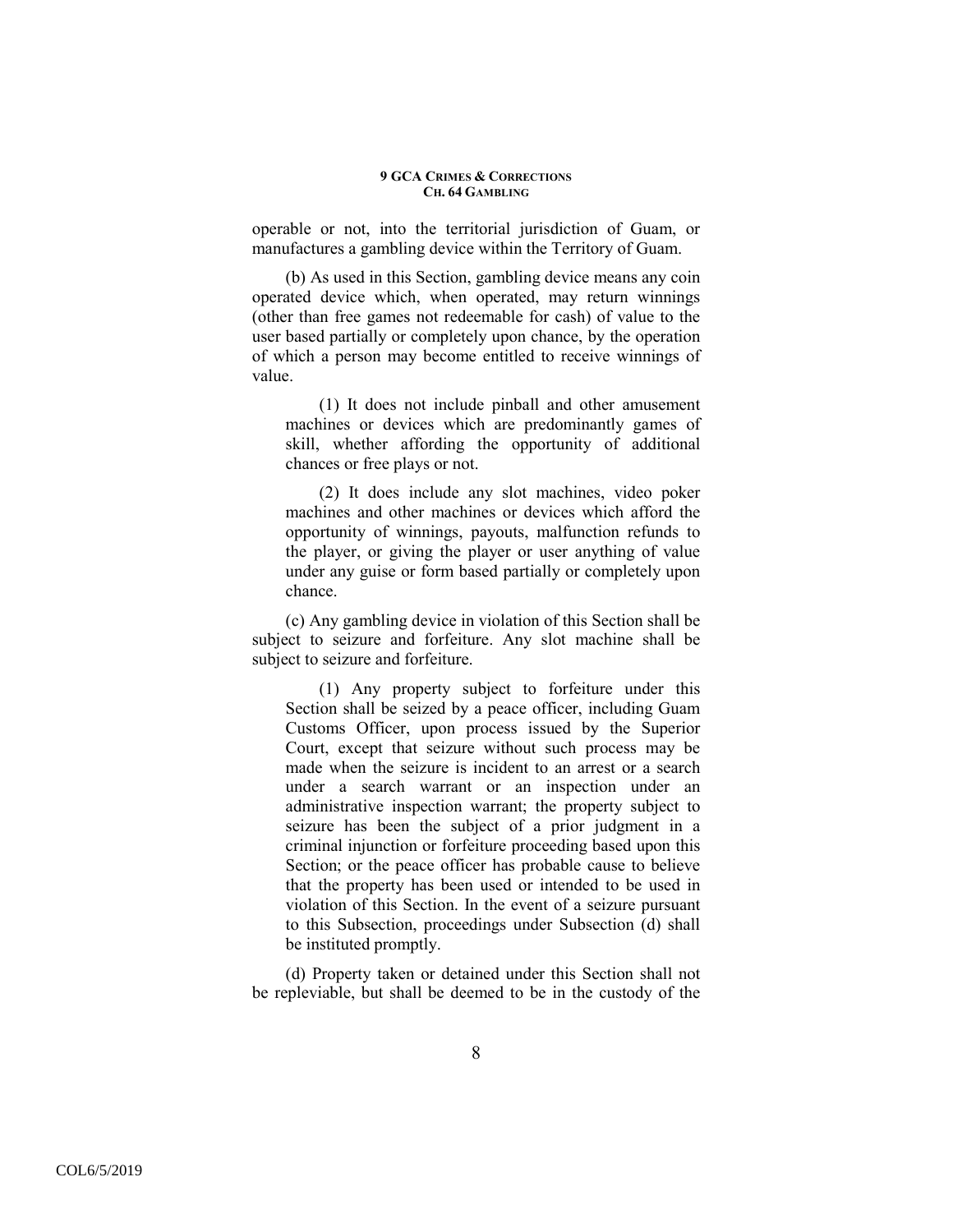operable or not, into the territorial jurisdiction of Guam, or manufactures a gambling device within the Territory of Guam.

(b) As used in this Section, gambling device means any coin operated device which, when operated, may return winnings (other than free games not redeemable for cash) of value to the user based partially or completely upon chance, by the operation of which a person may become entitled to receive winnings of value.

(1) It does not include pinball and other amusement machines or devices which are predominantly games of skill, whether affording the opportunity of additional chances or free plays or not.

(2) It does include any slot machines, video poker machines and other machines or devices which afford the opportunity of winnings, payouts, malfunction refunds to the player, or giving the player or user anything of value under any guise or form based partially or completely upon chance.

(c) Any gambling device in violation of this Section shall be subject to seizure and forfeiture. Any slot machine shall be subject to seizure and forfeiture.

(1) Any property subject to forfeiture under this Section shall be seized by a peace officer, including Guam Customs Officer, upon process issued by the Superior Court, except that seizure without such process may be made when the seizure is incident to an arrest or a search under a search warrant or an inspection under an administrative inspection warrant; the property subject to seizure has been the subject of a prior judgment in a criminal injunction or forfeiture proceeding based upon this Section; or the peace officer has probable cause to believe that the property has been used or intended to be used in violation of this Section. In the event of a seizure pursuant to this Subsection, proceedings under Subsection (d) shall be instituted promptly.

(d) Property taken or detained under this Section shall not be repleviable, but shall be deemed to be in the custody of the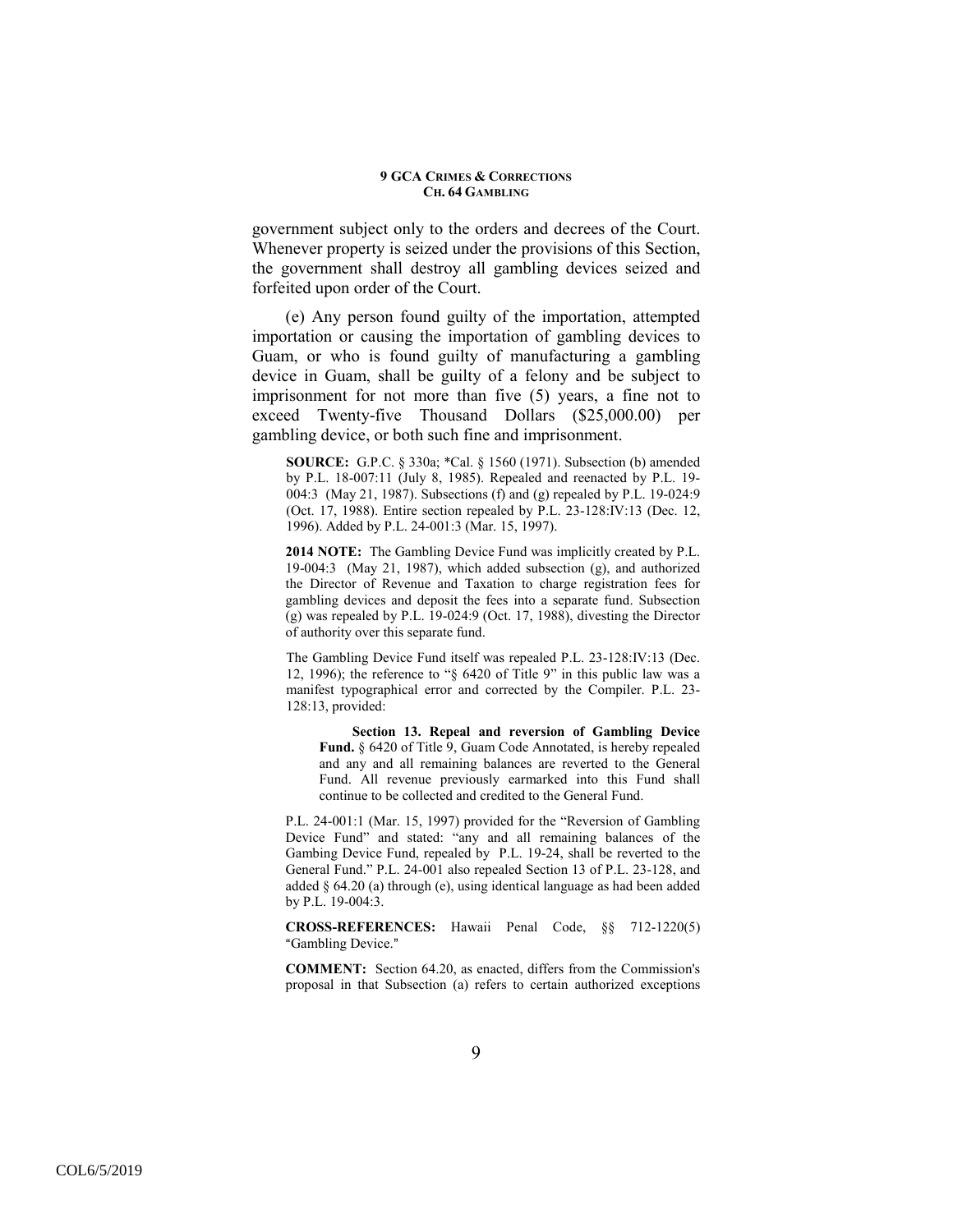government subject only to the orders and decrees of the Court. Whenever property is seized under the provisions of this Section, the government shall destroy all gambling devices seized and forfeited upon order of the Court.

(e) Any person found guilty of the importation, attempted importation or causing the importation of gambling devices to Guam, or who is found guilty of manufacturing a gambling device in Guam, shall be guilty of a felony and be subject to imprisonment for not more than five (5) years, a fine not to exceed Twenty-five Thousand Dollars (\$25,000.00) per gambling device, or both such fine and imprisonment.

**SOURCE:** G.P.C. § 330a; \*Cal. § 1560 (1971). Subsection (b) amended by P.L. 18-007:11 (July 8, 1985). Repealed and reenacted by P.L. 19- 004:3 (May 21, 1987). Subsections (f) and (g) repealed by P.L. 19-024:9 (Oct. 17, 1988). Entire section repealed by P.L. 23-128:IV:13 (Dec. 12, 1996). Added by P.L. 24-001:3 (Mar. 15, 1997).

**2014 NOTE:** The Gambling Device Fund was implicitly created by P.L. 19-004:3 (May 21, 1987), which added subsection (g), and authorized the Director of Revenue and Taxation to charge registration fees for gambling devices and deposit the fees into a separate fund. Subsection (g) was repealed by P.L. 19-024:9 (Oct. 17, 1988), divesting the Director of authority over this separate fund.

The Gambling Device Fund itself was repealed P.L. 23-128:IV:13 (Dec. 12, 1996); the reference to "§ 6420 of Title 9" in this public law was a manifest typographical error and corrected by the Compiler. P.L. 23- 128:13, provided:

**Section 13. Repeal and reversion of Gambling Device Fund.** § 6420 of Title 9, Guam Code Annotated, is hereby repealed and any and all remaining balances are reverted to the General Fund. All revenue previously earmarked into this Fund shall continue to be collected and credited to the General Fund.

P.L. 24-001:1 (Mar. 15, 1997) provided for the "Reversion of Gambling Device Fund" and stated: "any and all remaining balances of the Gambing Device Fund, repealed by P.L. 19-24, shall be reverted to the General Fund." P.L. 24-001 also repealed Section 13 of P.L. 23-128, and added § 64.20 (a) through (e), using identical language as had been added by P.L. 19-004:3.

**CROSS-REFERENCES:** Hawaii Penal Code, §§ 712-1220(5) "Gambling Device."

**COMMENT:** Section 64.20, as enacted, differs from the Commission's proposal in that Subsection (a) refers to certain authorized exceptions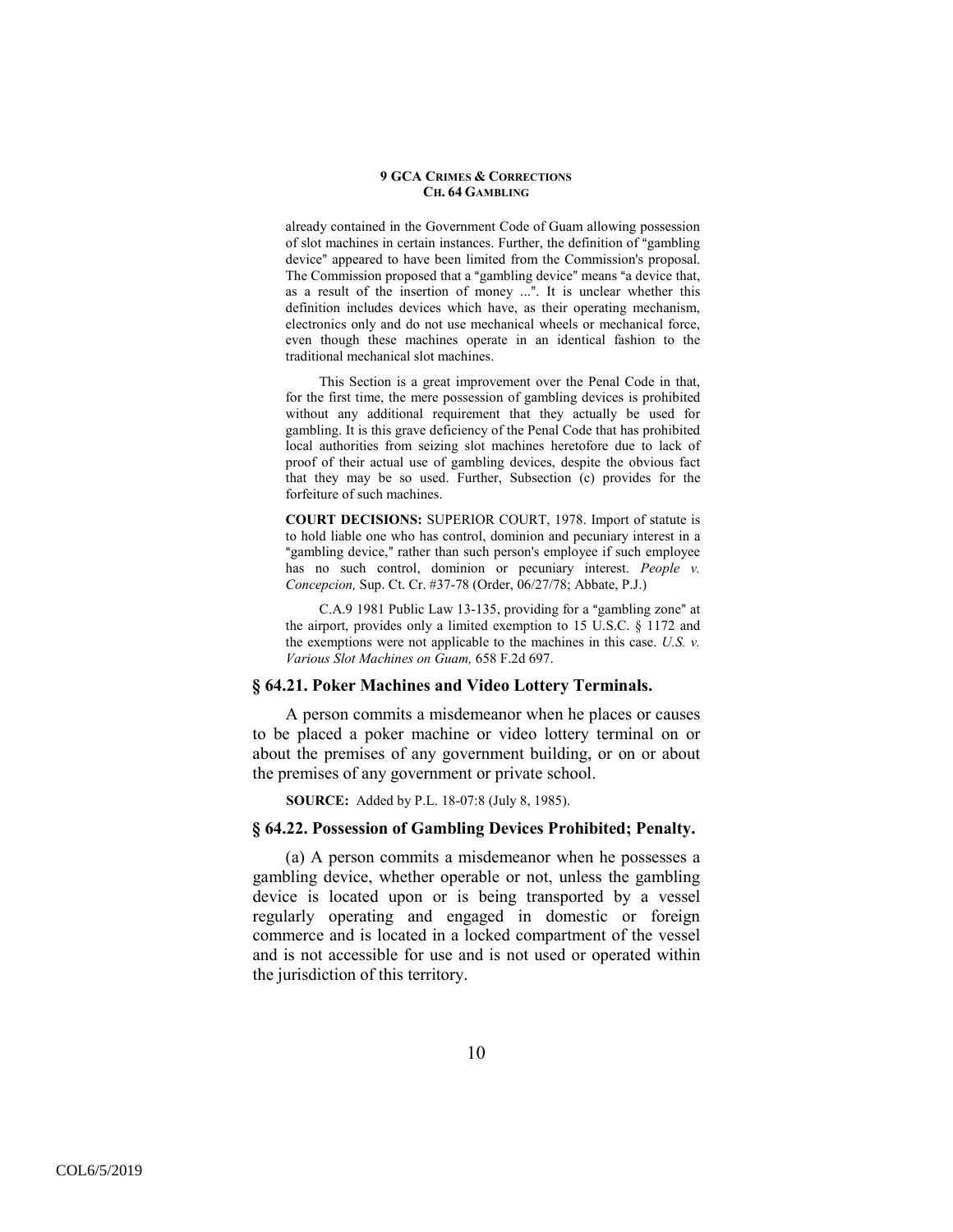already contained in the Government Code of Guam allowing possession of slot machines in certain instances. Further, the definition of "gambling" device" appeared to have been limited from the Commission's proposal. The Commission proposed that a "gambling device" means "a device that, as a result of the insertion of money ...". It is unclear whether this definition includes devices which have, as their operating mechanism, electronics only and do not use mechanical wheels or mechanical force, even though these machines operate in an identical fashion to the traditional mechanical slot machines.

This Section is a great improvement over the Penal Code in that, for the first time, the mere possession of gambling devices is prohibited without any additional requirement that they actually be used for gambling. It is this grave deficiency of the Penal Code that has prohibited local authorities from seizing slot machines heretofore due to lack of proof of their actual use of gambling devices, despite the obvious fact that they may be so used. Further, Subsection (c) provides for the forfeiture of such machines.

**COURT DECISIONS:** SUPERIOR COURT, 1978. Import of statute is to hold liable one who has control, dominion and pecuniary interest in a "gambling device," rather than such person's employee if such employee has no such control, dominion or pecuniary interest. *People v. Concepcion,* Sup. Ct. Cr. #37-78 (Order, 06/27/78; Abbate, P.J.)

 $C.A.9 1981$  Public Law 13-135, providing for a "gambling zone" at the airport, provides only a limited exemption to 15 U.S.C. § 1172 and the exemptions were not applicable to the machines in this case. *U.S. v. Various Slot Machines on Guam,* 658 F.2d 697.

### **§ 64.21. Poker Machines and Video Lottery Terminals.**

A person commits a misdemeanor when he places or causes to be placed a poker machine or video lottery terminal on or about the premises of any government building, or on or about the premises of any government or private school.

**SOURCE:** Added by P.L. 18-07:8 (July 8, 1985).

### **§ 64.22. Possession of Gambling Devices Prohibited; Penalty.**

(a) A person commits a misdemeanor when he possesses a gambling device, whether operable or not, unless the gambling device is located upon or is being transported by a vessel regularly operating and engaged in domestic or foreign commerce and is located in a locked compartment of the vessel and is not accessible for use and is not used or operated within the jurisdiction of this territory.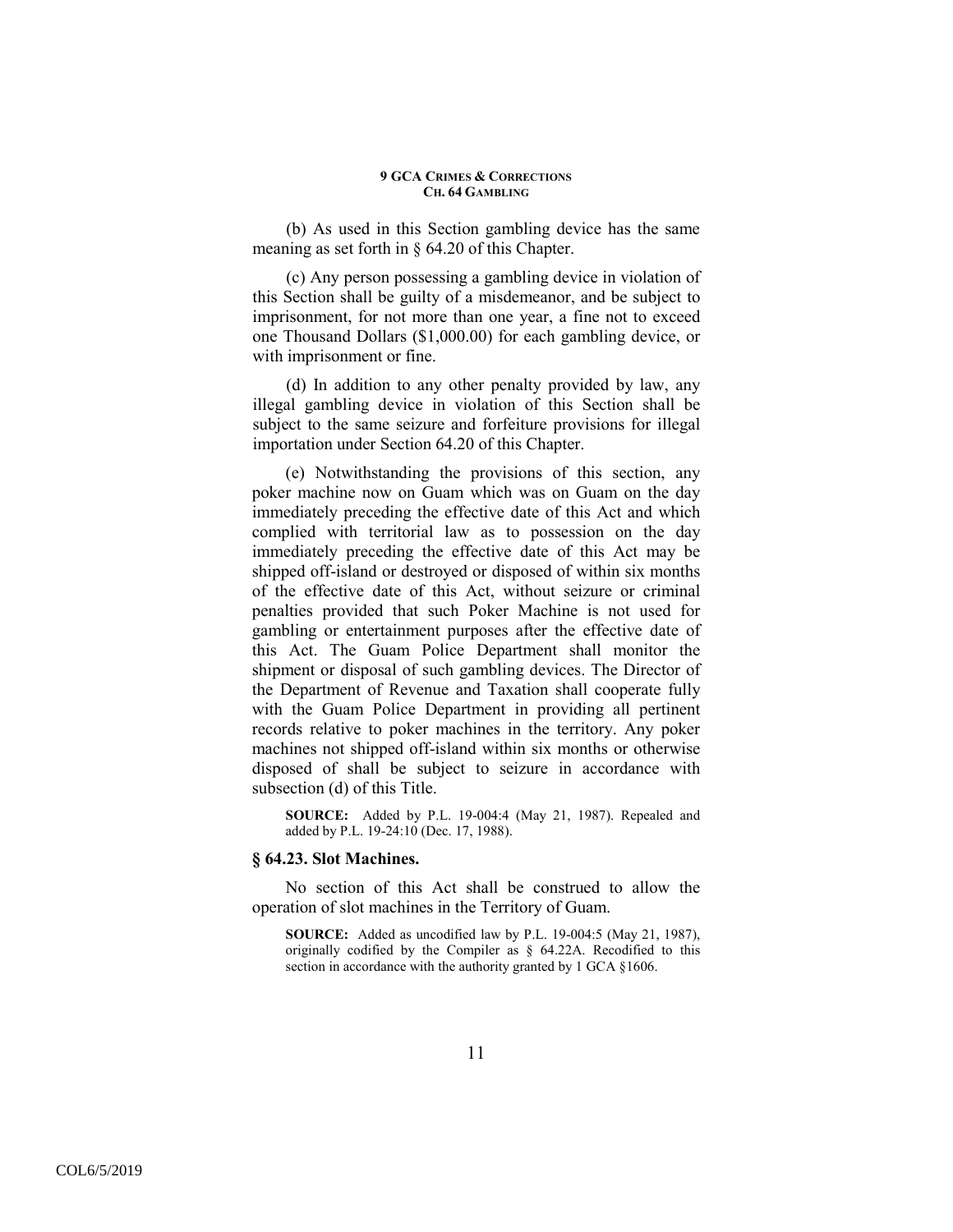(b) As used in this Section gambling device has the same meaning as set forth in § 64.20 of this Chapter.

(c) Any person possessing a gambling device in violation of this Section shall be guilty of a misdemeanor, and be subject to imprisonment, for not more than one year, a fine not to exceed one Thousand Dollars (\$1,000.00) for each gambling device, or with imprisonment or fine.

(d) In addition to any other penalty provided by law, any illegal gambling device in violation of this Section shall be subject to the same seizure and forfeiture provisions for illegal importation under Section 64.20 of this Chapter.

(e) Notwithstanding the provisions of this section, any poker machine now on Guam which was on Guam on the day immediately preceding the effective date of this Act and which complied with territorial law as to possession on the day immediately preceding the effective date of this Act may be shipped off-island or destroyed or disposed of within six months of the effective date of this Act, without seizure or criminal penalties provided that such Poker Machine is not used for gambling or entertainment purposes after the effective date of this Act. The Guam Police Department shall monitor the shipment or disposal of such gambling devices. The Director of the Department of Revenue and Taxation shall cooperate fully with the Guam Police Department in providing all pertinent records relative to poker machines in the territory. Any poker machines not shipped off-island within six months or otherwise disposed of shall be subject to seizure in accordance with subsection (d) of this Title.

**SOURCE:** Added by P.L. 19-004:4 (May 21, 1987). Repealed and added by P.L. 19-24:10 (Dec. 17, 1988).

### **§ 64.23. Slot Machines.**

No section of this Act shall be construed to allow the operation of slot machines in the Territory of Guam.

**SOURCE:** Added as uncodified law by P.L. 19-004:5 (May 21, 1987), originally codified by the Compiler as § 64.22A. Recodified to this section in accordance with the authority granted by 1 GCA §1606.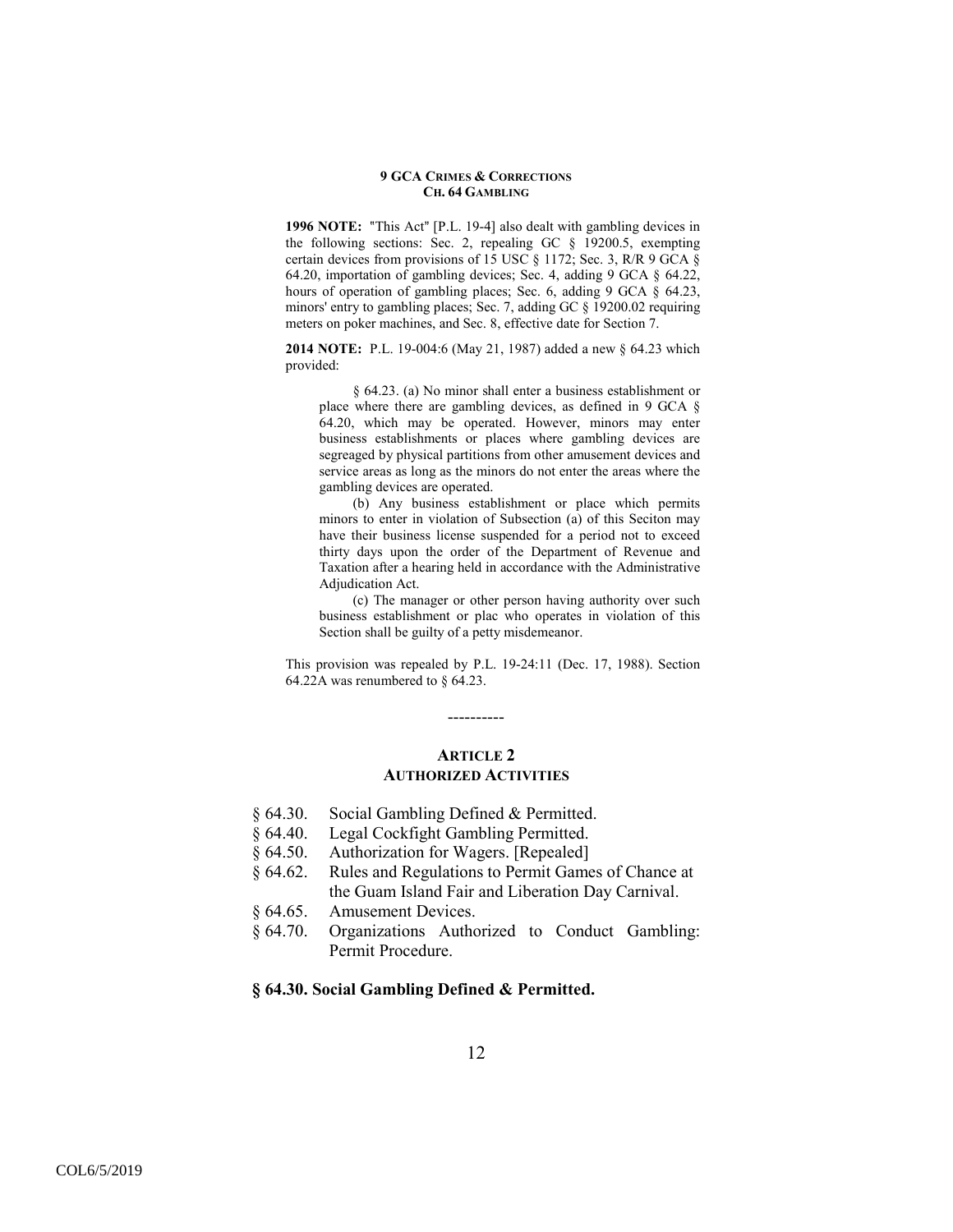**1996 NOTE:** "This Act" [P.L. 19-4] also dealt with gambling devices in the following sections: Sec. 2, repealing GC § 19200.5, exempting certain devices from provisions of 15 USC § 1172; Sec. 3, R/R 9 GCA § 64.20, importation of gambling devices; Sec. 4, adding 9 GCA § 64.22, hours of operation of gambling places; Sec. 6, adding 9 GCA § 64.23, minors' entry to gambling places; Sec. 7, adding GC § 19200.02 requiring meters on poker machines, and Sec. 8, effective date for Section 7.

**2014 NOTE:** P.L. 19-004:6 (May 21, 1987) added a new § 64.23 which provided:

§ 64.23. (a) No minor shall enter a business establishment or place where there are gambling devices, as defined in 9 GCA § 64.20, which may be operated. However, minors may enter business establishments or places where gambling devices are segreaged by physical partitions from other amusement devices and service areas as long as the minors do not enter the areas where the gambling devices are operated.

(b) Any business establishment or place which permits minors to enter in violation of Subsection (a) of this Seciton may have their business license suspended for a period not to exceed thirty days upon the order of the Department of Revenue and Taxation after a hearing held in accordance with the Administrative Adjudication Act.

(c) The manager or other person having authority over such business establishment or plac who operates in violation of this Section shall be guilty of a petty misdemeanor.

This provision was repealed by P.L. 19-24:11 (Dec. 17, 1988). Section 64.22A was renumbered to § 64.23.

### **ARTICLE 2 AUTHORIZED ACTIVITIES**

----------

- § 64.30. Social Gambling Defined & Permitted.
- § 64.40. Legal Cockfight Gambling Permitted.
- § 64.50. Authorization for Wagers. [Repealed]
- § 64.62. Rules and Regulations to Permit Games of Chance at the Guam Island Fair and Liberation Day Carnival.
- § 64.65. Amusement Devices.
- § 64.70. Organizations Authorized to Conduct Gambling: Permit Procedure.

### **§ 64.30. Social Gambling Defined & Permitted.**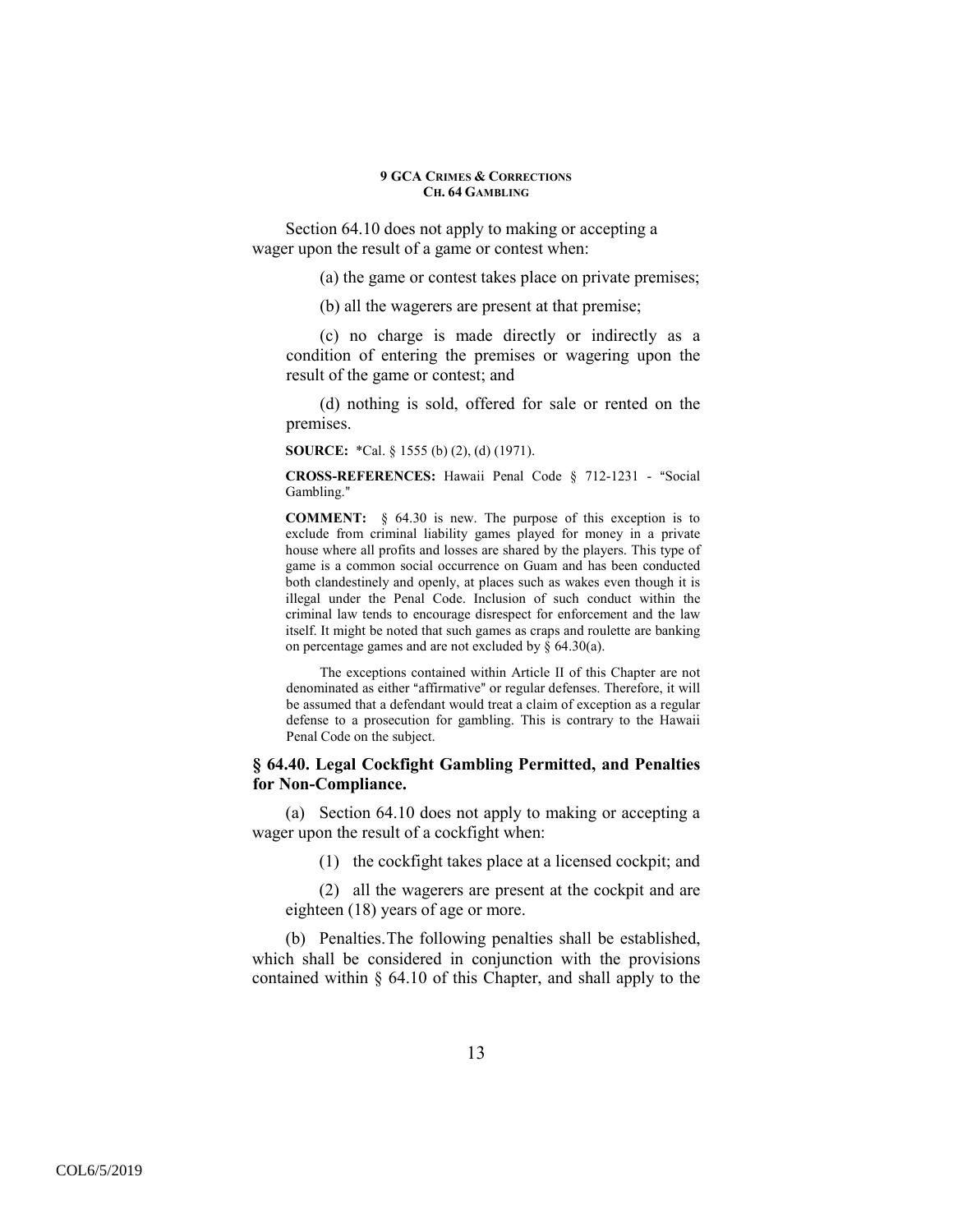Section 64.10 does not apply to making or accepting a wager upon the result of a game or contest when:

(a) the game or contest takes place on private premises;

(b) all the wagerers are present at that premise;

(c) no charge is made directly or indirectly as a condition of entering the premises or wagering upon the result of the game or contest; and

(d) nothing is sold, offered for sale or rented on the premises.

**SOURCE:** \*Cal. § 1555 (b) (2), (d) (1971).

**CROSS-REFERENCES:** Hawaii Penal Code § 712-1231 - "Social Gambling."

**COMMENT:** § 64.30 is new. The purpose of this exception is to exclude from criminal liability games played for money in a private house where all profits and losses are shared by the players. This type of game is a common social occurrence on Guam and has been conducted both clandestinely and openly, at places such as wakes even though it is illegal under the Penal Code. Inclusion of such conduct within the criminal law tends to encourage disrespect for enforcement and the law itself. It might be noted that such games as craps and roulette are banking on percentage games and are not excluded by  $\S$  64.30(a).

The exceptions contained within Article II of this Chapter are not denominated as either "affirmative" or regular defenses. Therefore, it will be assumed that a defendant would treat a claim of exception as a regular defense to a prosecution for gambling. This is contrary to the Hawaii Penal Code on the subject.

## **§ 64.40. Legal Cockfight Gambling Permitted, and Penalties for Non-Compliance.**

(a) Section 64.10 does not apply to making or accepting a wager upon the result of a cockfight when:

(1) the cockfight takes place at a licensed cockpit; and

(2) all the wagerers are present at the cockpit and are eighteen (18) years of age or more.

(b) Penalties. The following penalties shall be established, which shall be considered in conjunction with the provisions contained within § 64.10 of this Chapter, and shall apply to the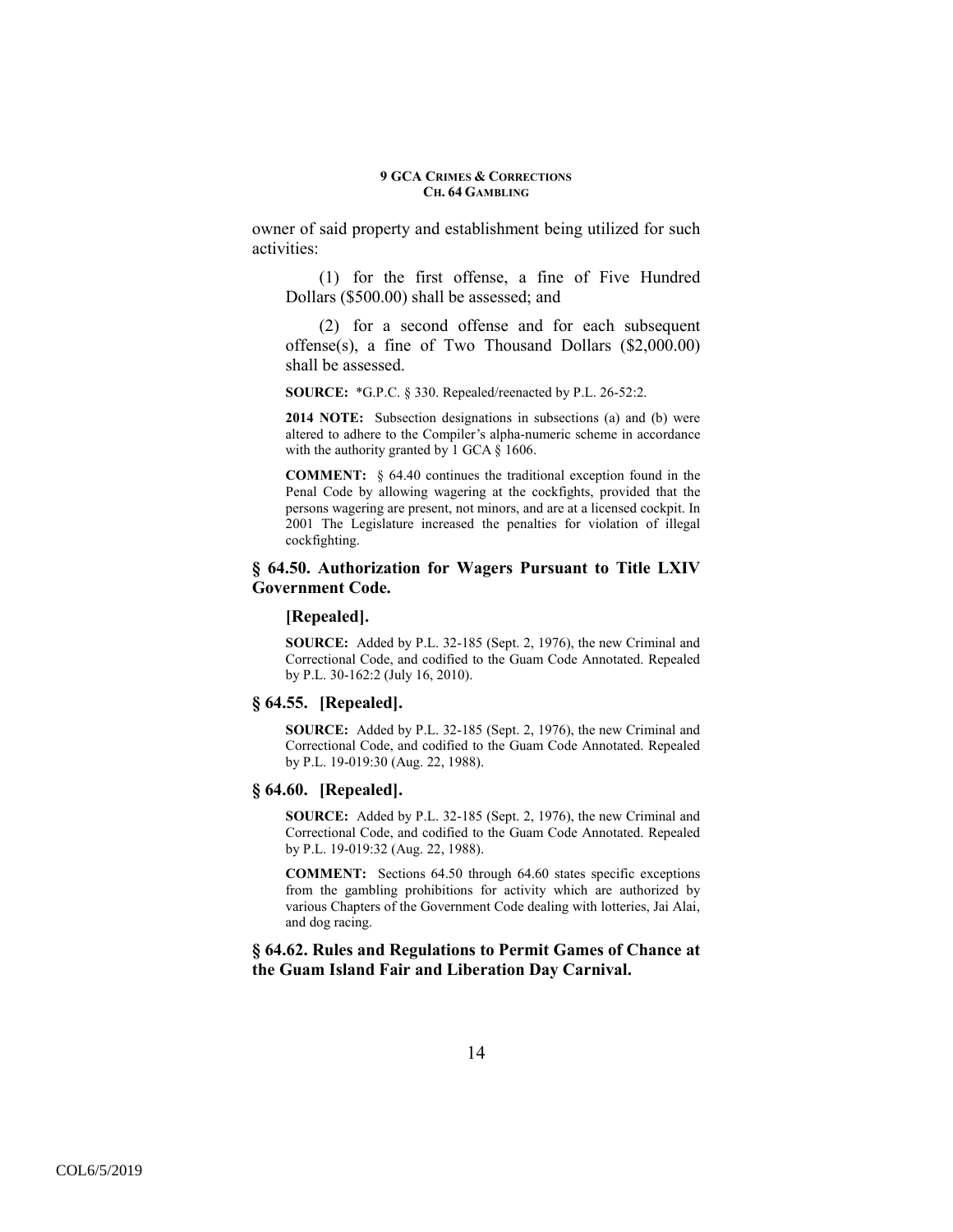owner of said property and establishment being utilized for such activities:

(1) for the first offense, a fine of Five Hundred Dollars (\$500.00) shall be assessed; and

(2) for a second offense and for each subsequent offense(s), a fine of Two Thousand Dollars (\$2,000.00) shall be assessed.

**SOURCE:** \*G.P.C. § 330. Repealed/reenacted by P.L. 26-52:2.

**2014 NOTE:** Subsection designations in subsections (a) and (b) were altered to adhere to the Compiler's alpha-numeric scheme in accordance with the authority granted by 1 GCA § 1606.

**COMMENT:** § 64.40 continues the traditional exception found in the Penal Code by allowing wagering at the cockfights, provided that the persons wagering are present, not minors, and are at a licensed cockpit. In 2001 The Legislature increased the penalties for violation of illegal cockfighting.

### **§ 64.50. Authorization for Wagers Pursuant to Title LXIV Government Code.**

### **[Repealed].**

**SOURCE:** Added by P.L. 32-185 (Sept. 2, 1976), the new Criminal and Correctional Code, and codified to the Guam Code Annotated. Repealed by P.L. 30-162:2 (July 16, 2010).

## **§ 64.55. [Repealed].**

**SOURCE:** Added by P.L. 32-185 (Sept. 2, 1976), the new Criminal and Correctional Code, and codified to the Guam Code Annotated. Repealed by P.L. 19-019:30 (Aug. 22, 1988).

### **§ 64.60. [Repealed].**

**SOURCE:** Added by P.L. 32-185 (Sept. 2, 1976), the new Criminal and Correctional Code, and codified to the Guam Code Annotated. Repealed by P.L. 19-019:32 (Aug. 22, 1988).

**COMMENT:** Sections 64.50 through 64.60 states specific exceptions from the gambling prohibitions for activity which are authorized by various Chapters of the Government Code dealing with lotteries, Jai Alai, and dog racing.

**§ 64.62. Rules and Regulations to Permit Games of Chance at the Guam Island Fair and Liberation Day Carnival.**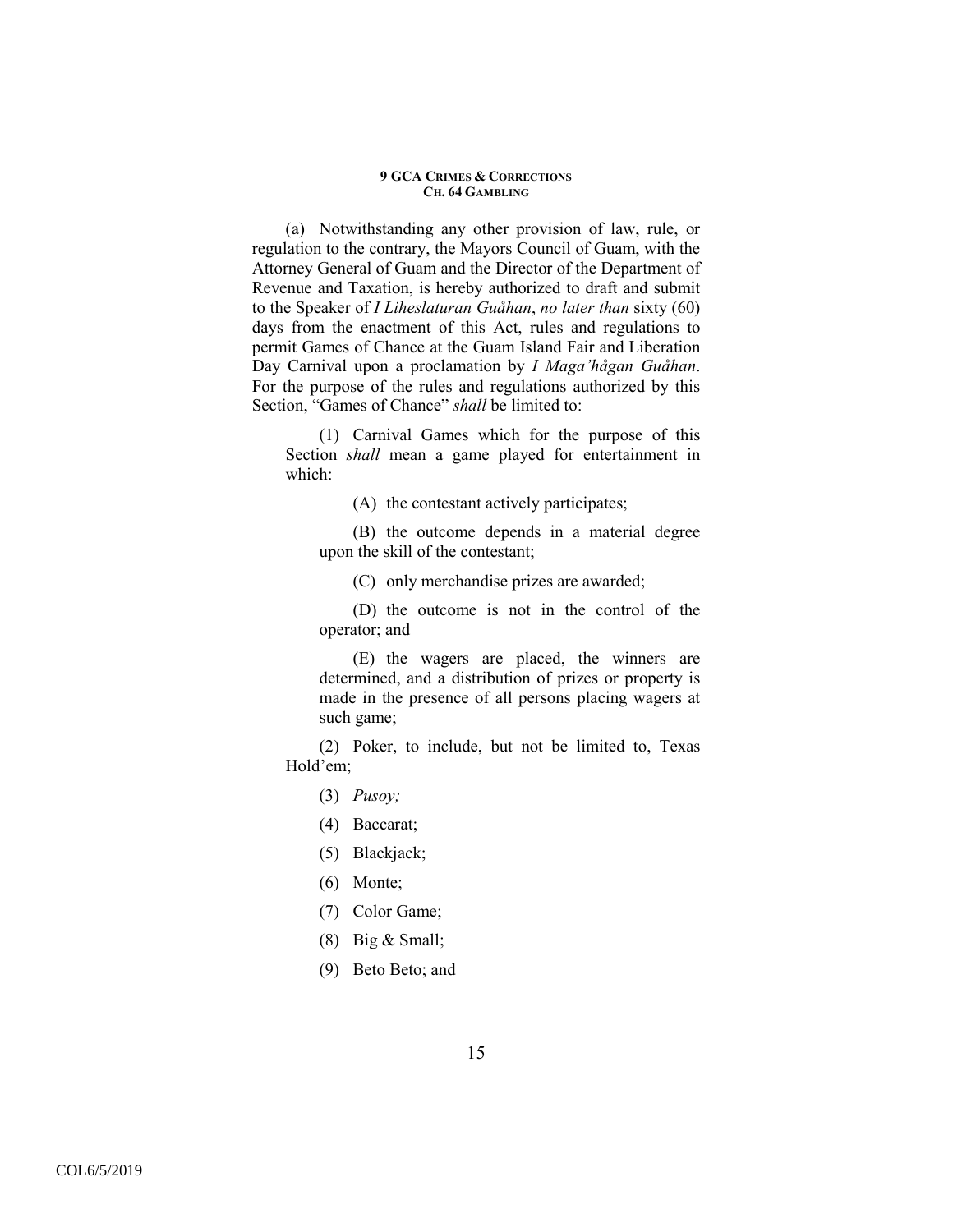(a) Notwithstanding any other provision of law, rule, or regulation to the contrary, the Mayors Council of Guam, with the Attorney General of Guam and the Director of the Department of Revenue and Taxation, is hereby authorized to draft and submit to the Speaker of *I Liheslaturan Guåhan*, *no later than* sixty (60) days from the enactment of this Act, rules and regulations to permit Games of Chance at the Guam Island Fair and Liberation Day Carnival upon a proclamation by *I Maga'hågan Guåhan*. For the purpose of the rules and regulations authorized by this Section, "Games of Chance" *shall* be limited to:

(1) Carnival Games which for the purpose of this Section *shall* mean a game played for entertainment in which:

(A) the contestant actively participates;

(B) the outcome depends in a material degree upon the skill of the contestant;

(C) only merchandise prizes are awarded;

(D) the outcome is not in the control of the operator; and

(E) the wagers are placed, the winners are determined, and a distribution of prizes or property is made in the presence of all persons placing wagers at such game;

(2) Poker, to include, but not be limited to, Texas Hold'em;

(3) *Pusoy;*

(4) Baccarat;

(5) Blackjack;

(6) Monte;

(7) Color Game;

(8) Big & Small;

(9) Beto Beto; and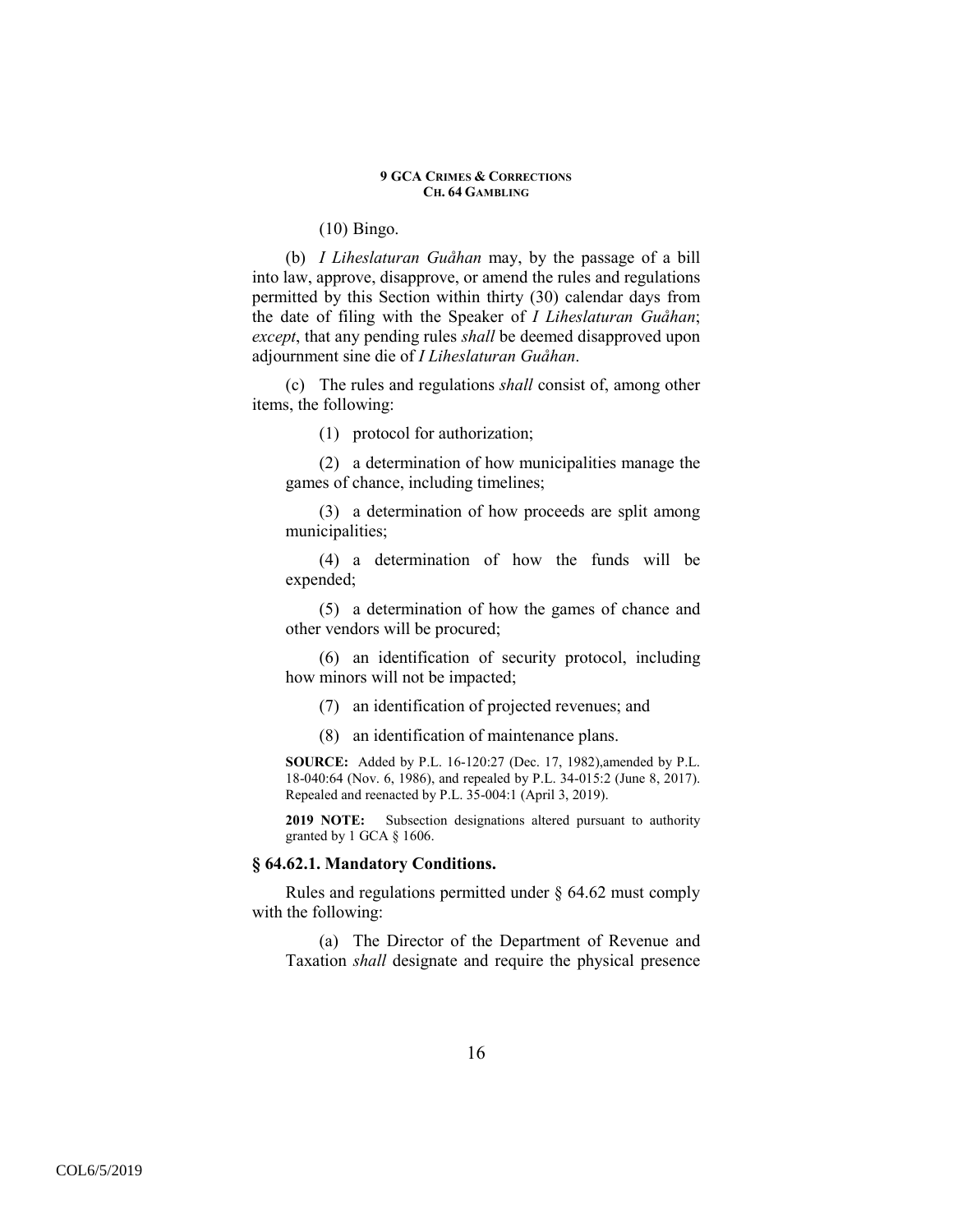(10) Bingo.

(b) *I Liheslaturan Guåhan* may, by the passage of a bill into law, approve, disapprove, or amend the rules and regulations permitted by this Section within thirty (30) calendar days from the date of filing with the Speaker of *I Liheslaturan Guåhan*; *except*, that any pending rules *shall* be deemed disapproved upon adjournment sine die of *I Liheslaturan Guåhan*.

(c) The rules and regulations *shall* consist of, among other items, the following:

(1) protocol for authorization;

(2) a determination of how municipalities manage the games of chance, including timelines;

(3) a determination of how proceeds are split among municipalities;

(4) a determination of how the funds will be expended;

(5) a determination of how the games of chance and other vendors will be procured;

(6) an identification of security protocol, including how minors will not be impacted;

(7) an identification of projected revenues; and

(8) an identification of maintenance plans.

**SOURCE:** Added by P.L. 16-120:27 (Dec. 17, 1982),amended by P.L. 18-040:64 (Nov. 6, 1986), and repealed by P.L. 34-015:2 (June 8, 2017). Repealed and reenacted by P.L. 35-004:1 (April 3, 2019).

**2019 NOTE:** Subsection designations altered pursuant to authority granted by 1 GCA § 1606.

## **§ 64.62.1. Mandatory Conditions.**

Rules and regulations permitted under § 64.62 must comply with the following:

(a) The Director of the Department of Revenue and Taxation *shall* designate and require the physical presence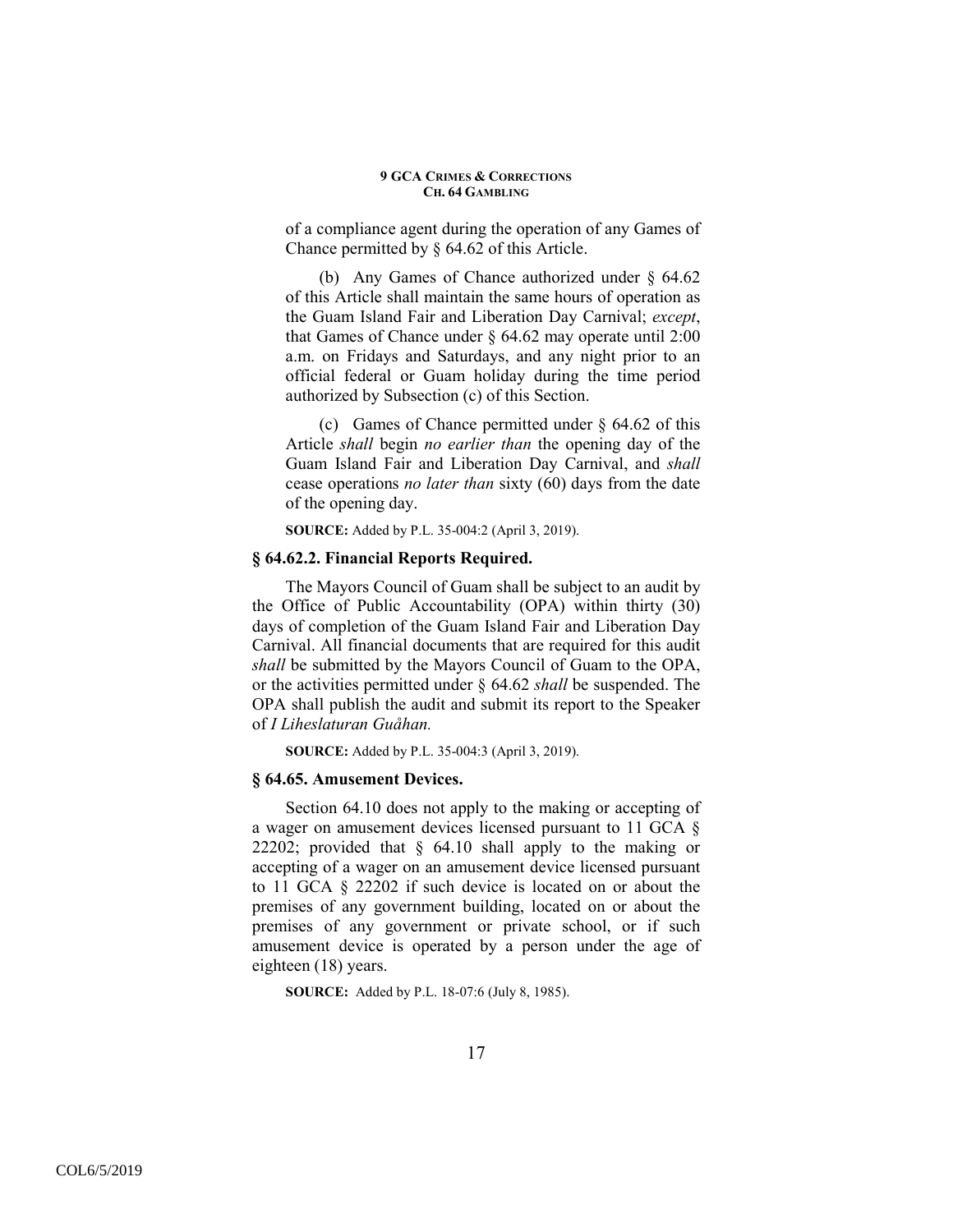of a compliance agent during the operation of any Games of Chance permitted by § 64.62 of this Article.

(b) Any Games of Chance authorized under § 64.62 of this Article shall maintain the same hours of operation as the Guam Island Fair and Liberation Day Carnival; *except*, that Games of Chance under  $\S$  64.62 may operate until 2:00 a.m. on Fridays and Saturdays, and any night prior to an official federal or Guam holiday during the time period authorized by Subsection (c) of this Section.

(c) Games of Chance permitted under § 64.62 of this Article *shall* begin *no earlier than* the opening day of the Guam Island Fair and Liberation Day Carnival, and *shall* cease operations *no later than* sixty (60) days from the date of the opening day.

**SOURCE:** Added by P.L. 35-004:2 (April 3, 2019).

## **§ 64.62.2. Financial Reports Required.**

The Mayors Council of Guam shall be subject to an audit by the Office of Public Accountability (OPA) within thirty (30) days of completion of the Guam Island Fair and Liberation Day Carnival. All financial documents that are required for this audit *shall* be submitted by the Mayors Council of Guam to the OPA, or the activities permitted under § 64.62 *shall* be suspended. The OPA shall publish the audit and submit its report to the Speaker of *I Liheslaturan Guåhan.* 

**SOURCE:** Added by P.L. 35-004:3 (April 3, 2019).

### **§ 64.65. Amusement Devices.**

Section 64.10 does not apply to the making or accepting of a wager on amusement devices licensed pursuant to 11 GCA § 22202; provided that § 64.10 shall apply to the making or accepting of a wager on an amusement device licensed pursuant to 11 GCA § 22202 if such device is located on or about the premises of any government building, located on or about the premises of any government or private school, or if such amusement device is operated by a person under the age of eighteen (18) years.

**SOURCE:** Added by P.L. 18-07:6 (July 8, 1985).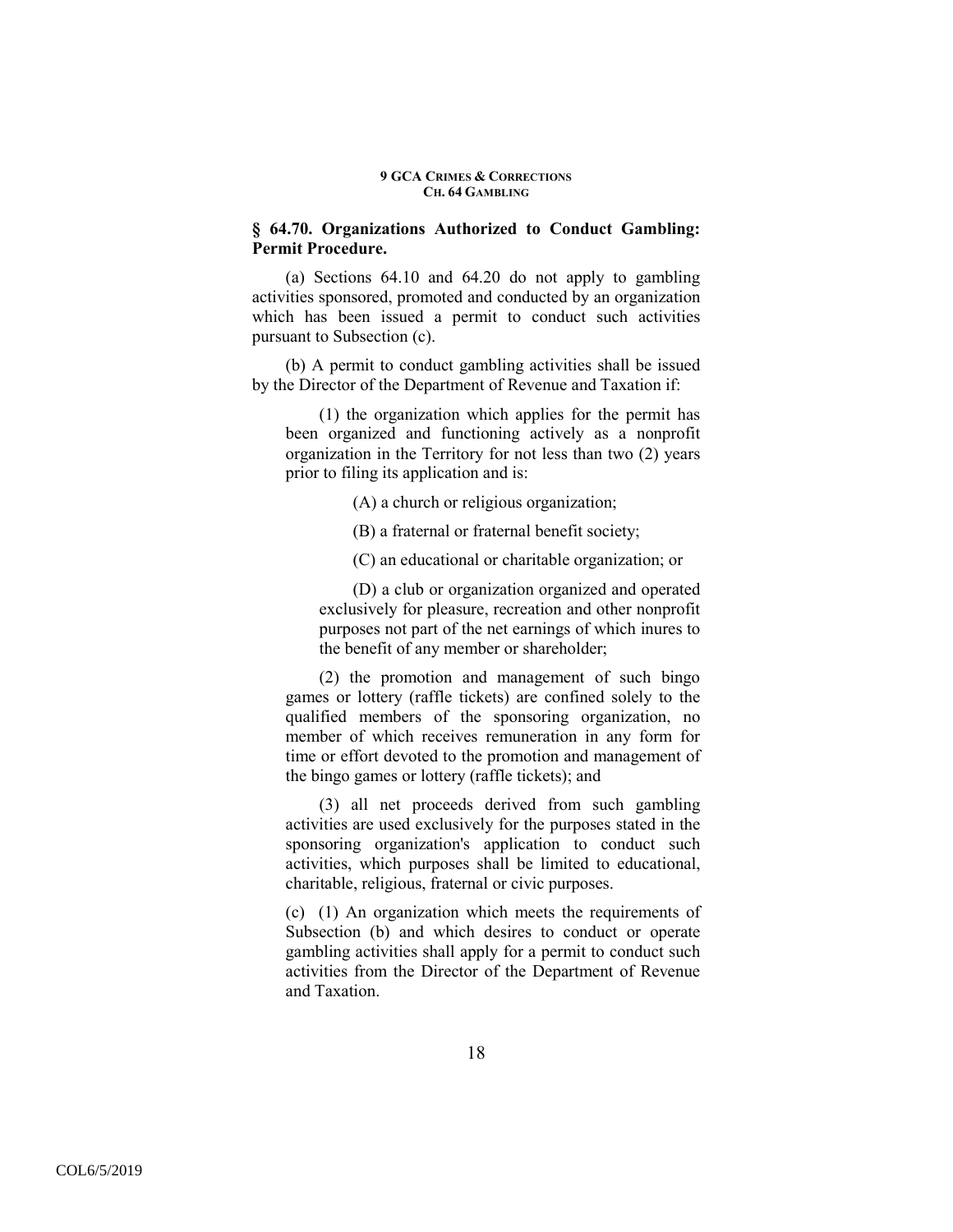## **§ 64.70. Organizations Authorized to Conduct Gambling: Permit Procedure.**

(a) Sections 64.10 and 64.20 do not apply to gambling activities sponsored, promoted and conducted by an organization which has been issued a permit to conduct such activities pursuant to Subsection (c).

(b) A permit to conduct gambling activities shall be issued by the Director of the Department of Revenue and Taxation if:

(1) the organization which applies for the permit has been organized and functioning actively as a nonprofit organization in the Territory for not less than two (2) years prior to filing its application and is:

(A) a church or religious organization;

(B) a fraternal or fraternal benefit society;

(C) an educational or charitable organization; or

(D) a club or organization organized and operated exclusively for pleasure, recreation and other nonprofit purposes not part of the net earnings of which inures to the benefit of any member or shareholder;

(2) the promotion and management of such bingo games or lottery (raffle tickets) are confined solely to the qualified members of the sponsoring organization, no member of which receives remuneration in any form for time or effort devoted to the promotion and management of the bingo games or lottery (raffle tickets); and

(3) all net proceeds derived from such gambling activities are used exclusively for the purposes stated in the sponsoring organization's application to conduct such activities, which purposes shall be limited to educational, charitable, religious, fraternal or civic purposes.

(c) (1) An organization which meets the requirements of Subsection (b) and which desires to conduct or operate gambling activities shall apply for a permit to conduct such activities from the Director of the Department of Revenue and Taxation.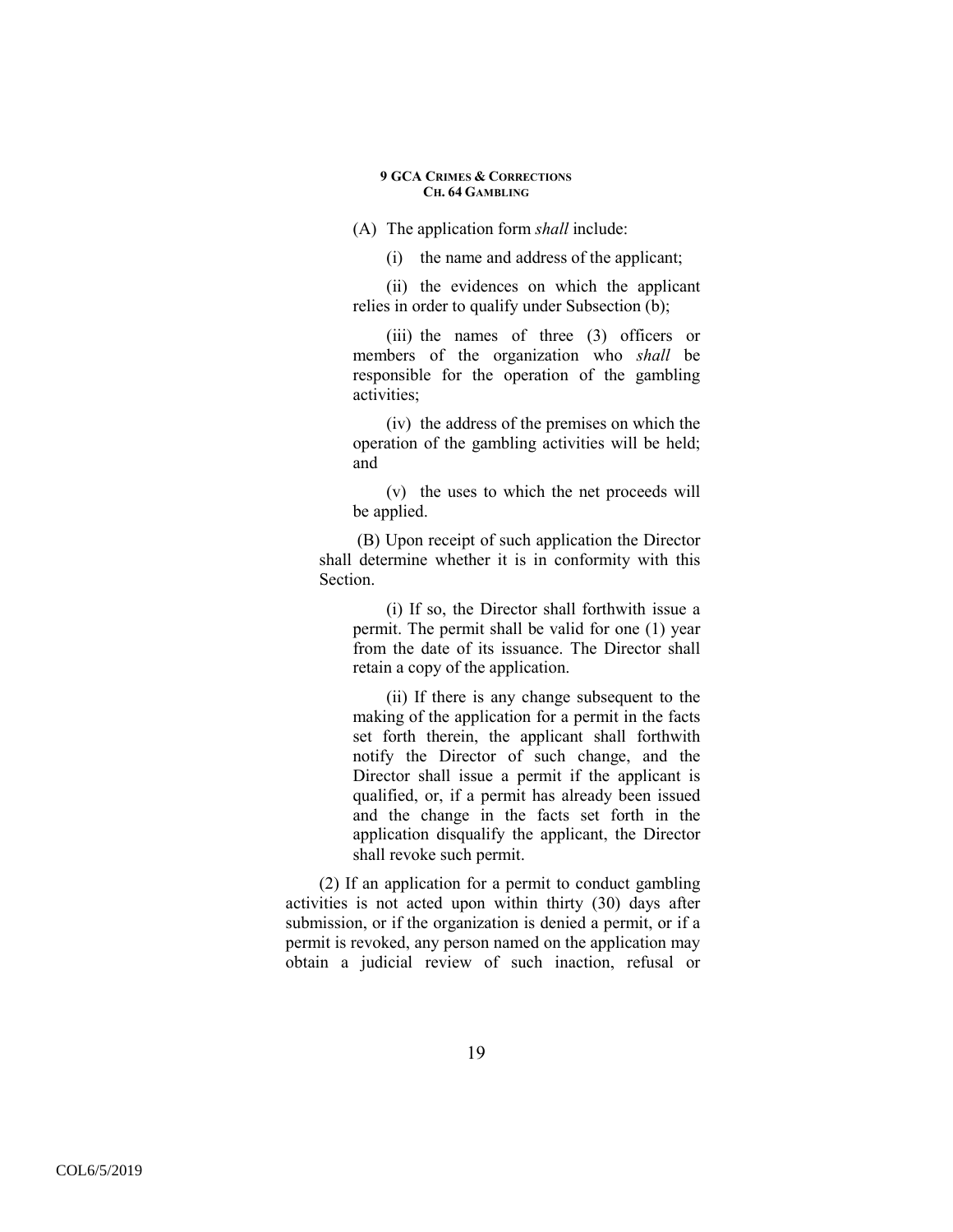(A) The application form *shall* include:

(i) the name and address of the applicant;

(ii) the evidences on which the applicant relies in order to qualify under Subsection (b);

(iii) the names of three (3) officers or members of the organization who *shall* be responsible for the operation of the gambling activities;

(iv) the address of the premises on which the operation of the gambling activities will be held; and

(v) the uses to which the net proceeds will be applied.

 (B) Upon receipt of such application the Director shall determine whether it is in conformity with this **Section** 

(i) If so, the Director shall forthwith issue a permit. The permit shall be valid for one (1) year from the date of its issuance. The Director shall retain a copy of the application.

(ii) If there is any change subsequent to the making of the application for a permit in the facts set forth therein, the applicant shall forthwith notify the Director of such change, and the Director shall issue a permit if the applicant is qualified, or, if a permit has already been issued and the change in the facts set forth in the application disqualify the applicant, the Director shall revoke such permit.

(2) If an application for a permit to conduct gambling activities is not acted upon within thirty (30) days after submission, or if the organization is denied a permit, or if a permit is revoked, any person named on the application may obtain a judicial review of such inaction, refusal or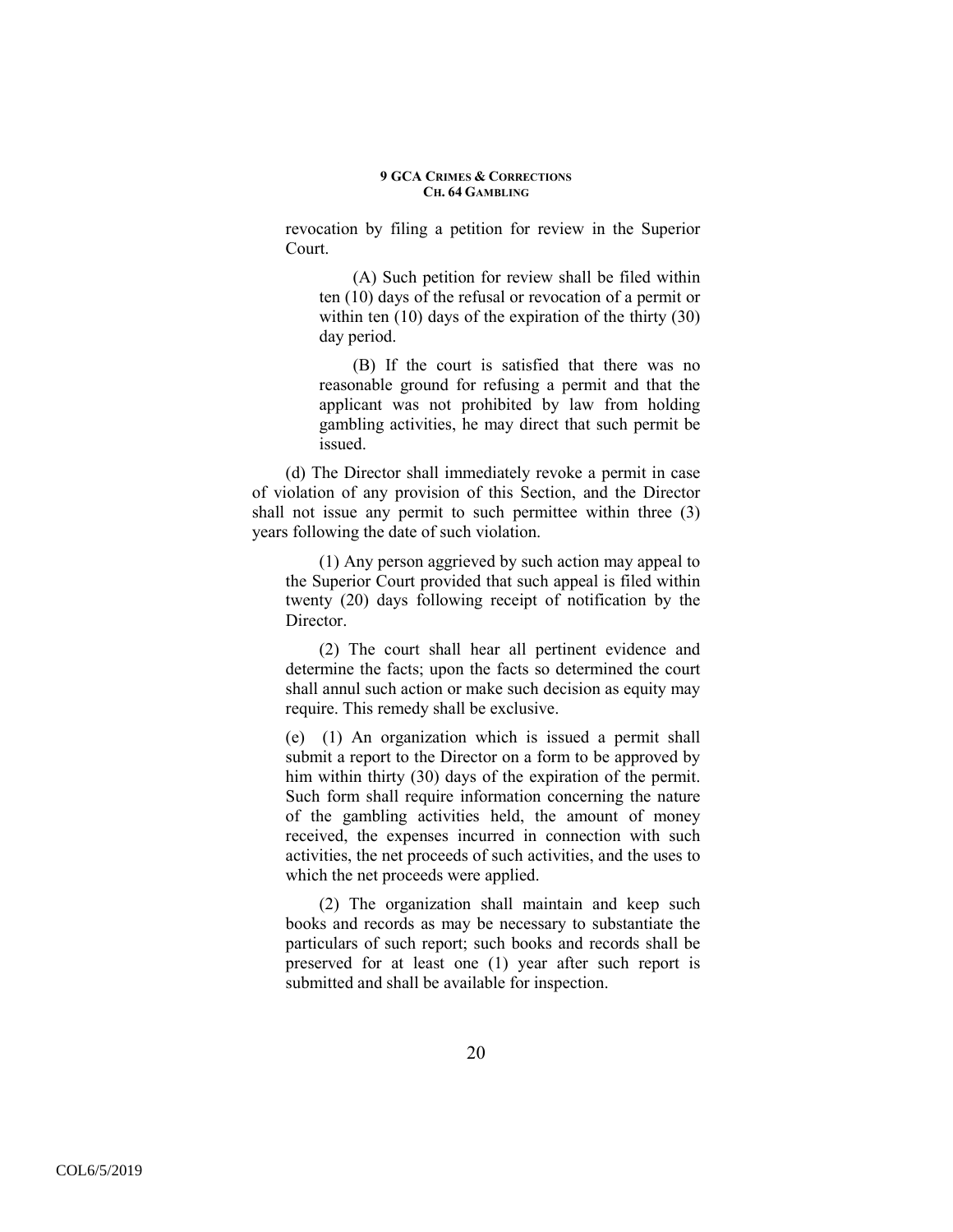revocation by filing a petition for review in the Superior Court.

(A) Such petition for review shall be filed within ten (10) days of the refusal or revocation of a permit or within ten (10) days of the expiration of the thirty (30) day period.

(B) If the court is satisfied that there was no reasonable ground for refusing a permit and that the applicant was not prohibited by law from holding gambling activities, he may direct that such permit be issued.

(d) The Director shall immediately revoke a permit in case of violation of any provision of this Section, and the Director shall not issue any permit to such permittee within three (3) years following the date of such violation.

(1) Any person aggrieved by such action may appeal to the Superior Court provided that such appeal is filed within twenty (20) days following receipt of notification by the **Director** 

(2) The court shall hear all pertinent evidence and determine the facts; upon the facts so determined the court shall annul such action or make such decision as equity may require. This remedy shall be exclusive.

(e) (1) An organization which is issued a permit shall submit a report to the Director on a form to be approved by him within thirty (30) days of the expiration of the permit. Such form shall require information concerning the nature of the gambling activities held, the amount of money received, the expenses incurred in connection with such activities, the net proceeds of such activities, and the uses to which the net proceeds were applied.

(2) The organization shall maintain and keep such books and records as may be necessary to substantiate the particulars of such report; such books and records shall be preserved for at least one (1) year after such report is submitted and shall be available for inspection.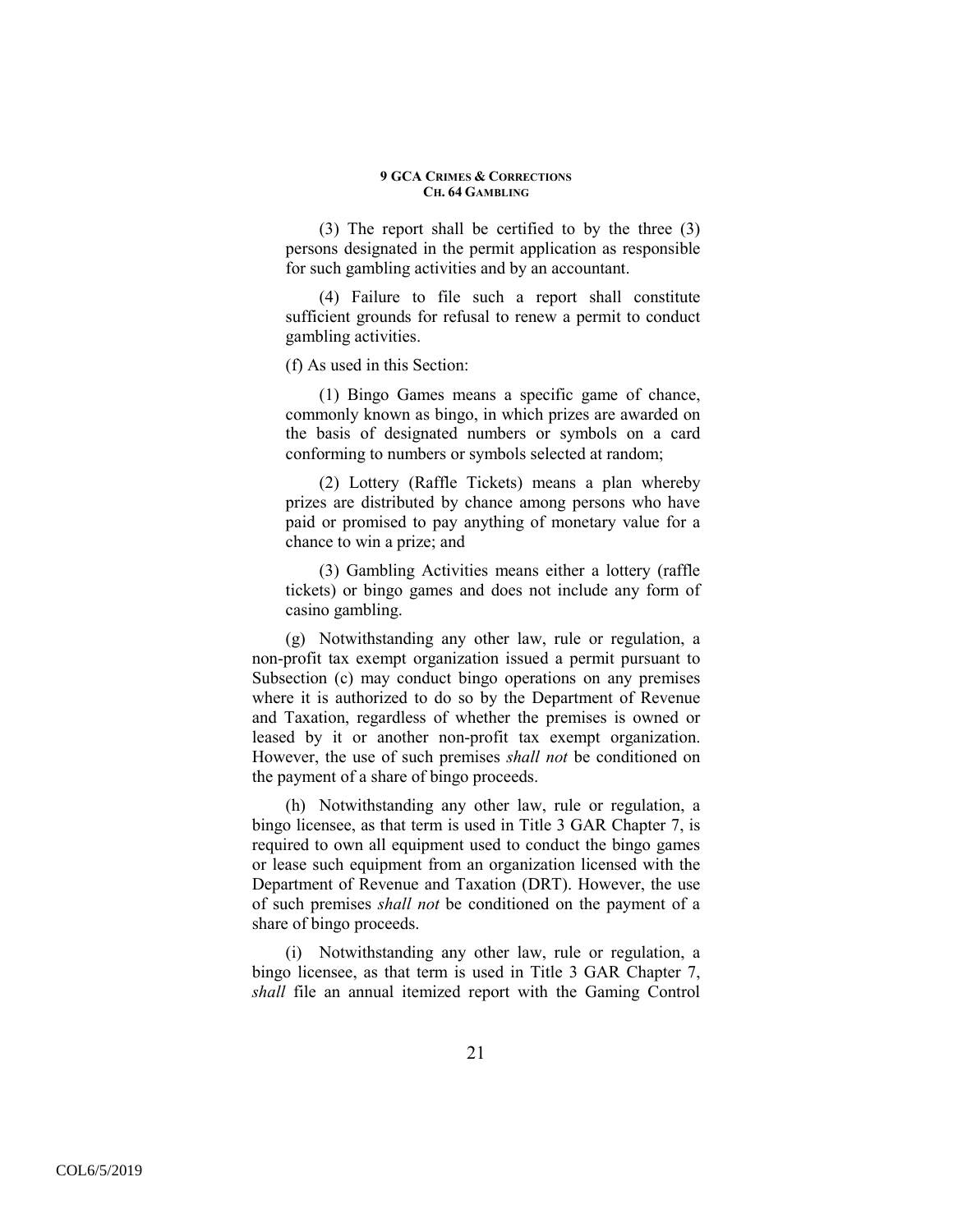(3) The report shall be certified to by the three (3) persons designated in the permit application as responsible for such gambling activities and by an accountant.

(4) Failure to file such a report shall constitute sufficient grounds for refusal to renew a permit to conduct gambling activities.

(f) As used in this Section:

(1) Bingo Games means a specific game of chance, commonly known as bingo, in which prizes are awarded on the basis of designated numbers or symbols on a card conforming to numbers or symbols selected at random;

(2) Lottery (Raffle Tickets) means a plan whereby prizes are distributed by chance among persons who have paid or promised to pay anything of monetary value for a chance to win a prize; and

(3) Gambling Activities means either a lottery (raffle tickets) or bingo games and does not include any form of casino gambling.

(g) Notwithstanding any other law, rule or regulation, a non-profit tax exempt organization issued a permit pursuant to Subsection (c) may conduct bingo operations on any premises where it is authorized to do so by the Department of Revenue and Taxation, regardless of whether the premises is owned or leased by it or another non-profit tax exempt organization. However, the use of such premises *shall not* be conditioned on the payment of a share of bingo proceeds.

(h) Notwithstanding any other law, rule or regulation, a bingo licensee, as that term is used in Title 3 GAR Chapter 7, is required to own all equipment used to conduct the bingo games or lease such equipment from an organization licensed with the Department of Revenue and Taxation (DRT). However, the use of such premises *shall not* be conditioned on the payment of a share of bingo proceeds.

(i) Notwithstanding any other law, rule or regulation, a bingo licensee, as that term is used in Title 3 GAR Chapter 7, *shall* file an annual itemized report with the Gaming Control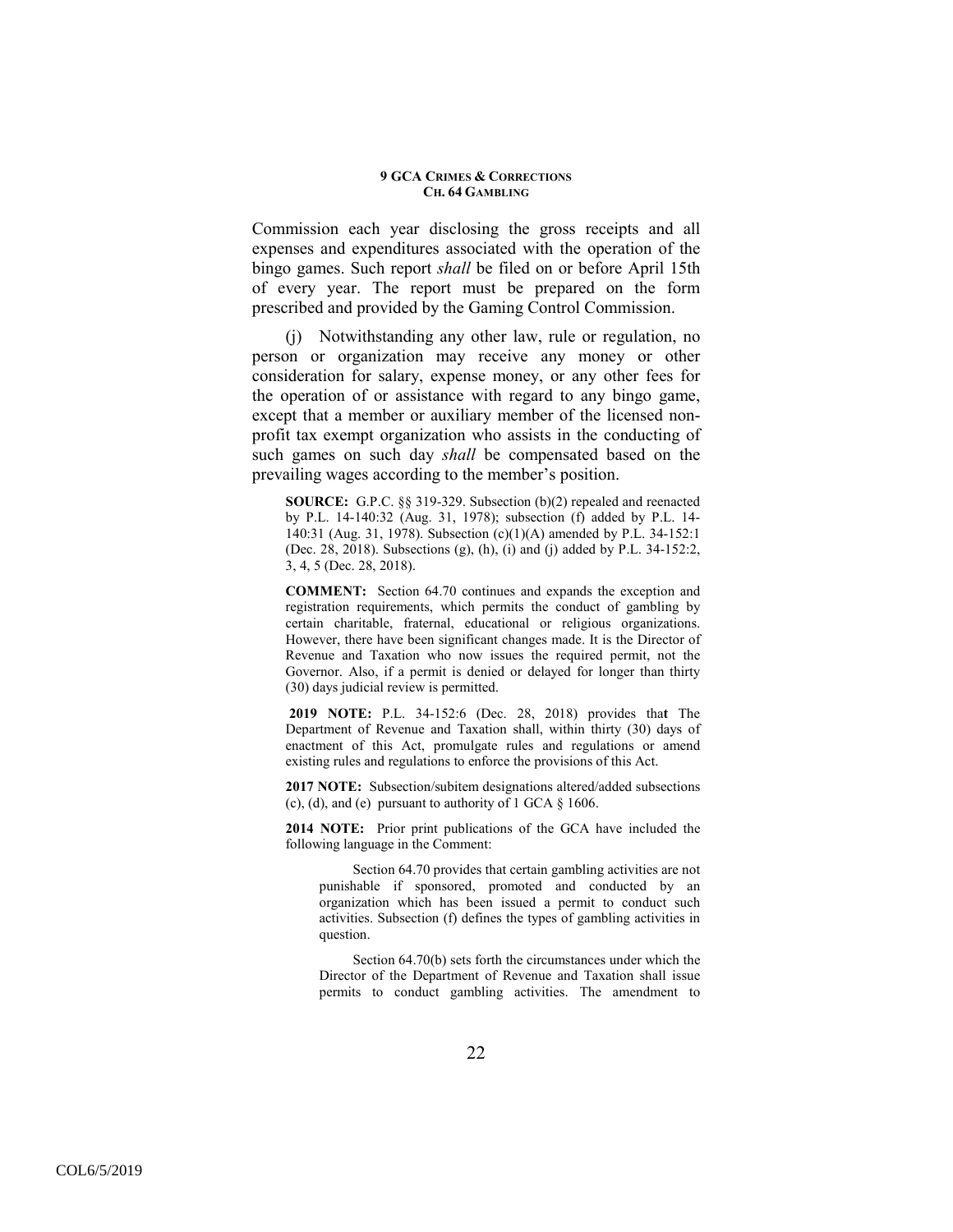Commission each year disclosing the gross receipts and all expenses and expenditures associated with the operation of the bingo games. Such report *shall* be filed on or before April 15th of every year. The report must be prepared on the form prescribed and provided by the Gaming Control Commission.

(j) Notwithstanding any other law, rule or regulation, no person or organization may receive any money or other consideration for salary, expense money, or any other fees for the operation of or assistance with regard to any bingo game, except that a member or auxiliary member of the licensed nonprofit tax exempt organization who assists in the conducting of such games on such day *shall* be compensated based on the prevailing wages according to the member's position.

**SOURCE:** G.P.C. §§ 319-329. Subsection (b)(2) repealed and reenacted by P.L. 14-140:32 (Aug. 31, 1978); subsection (f) added by P.L. 14- 140:31 (Aug. 31, 1978). Subsection (c)(1)(A) amended by P.L. 34-152:1 (Dec. 28, 2018). Subsections (g), (h), (i) and (j) added by P.L. 34-152:2, 3, 4, 5 (Dec. 28, 2018).

**COMMENT:** Section 64.70 continues and expands the exception and registration requirements, which permits the conduct of gambling by certain charitable, fraternal, educational or religious organizations. However, there have been significant changes made. It is the Director of Revenue and Taxation who now issues the required permit, not the Governor. Also, if a permit is denied or delayed for longer than thirty (30) days judicial review is permitted.

**2019 NOTE:** P.L. 34-152:6 (Dec. 28, 2018) provides tha**t** The Department of Revenue and Taxation shall, within thirty (30) days of enactment of this Act, promulgate rules and regulations or amend existing rules and regulations to enforce the provisions of this Act.

**2017 NOTE:** Subsection/subitem designations altered/added subsections (c), (d), and (e) pursuant to authority of  $1$  GCA  $\S$  1606.

**2014 NOTE:** Prior print publications of the GCA have included the following language in the Comment:

 Section 64.70 provides that certain gambling activities are not punishable if sponsored, promoted and conducted by an organization which has been issued a permit to conduct such activities. Subsection (f) defines the types of gambling activities in question.

Section 64.70(b) sets forth the circumstances under which the Director of the Department of Revenue and Taxation shall issue permits to conduct gambling activities. The amendment to